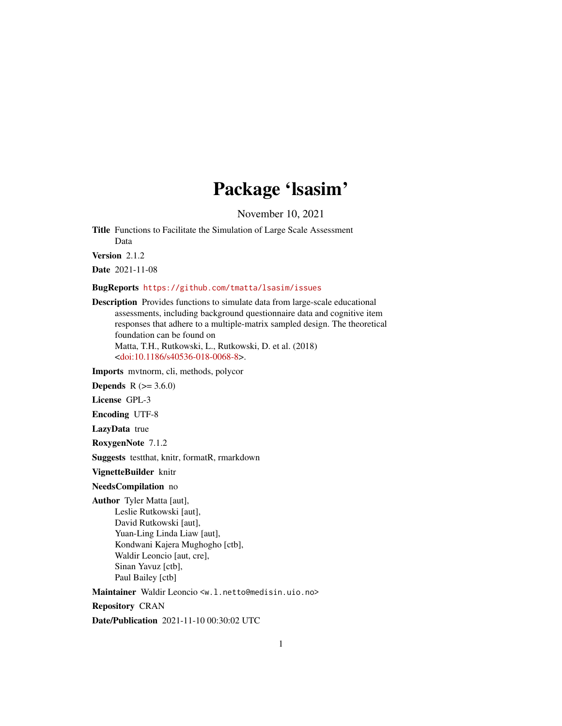# Package 'lsasim'

November 10, 2021

Title Functions to Facilitate the Simulation of Large Scale Assessment Data

Version 2.1.2

Date 2021-11-08

#### BugReports <https://github.com/tmatta/lsasim/issues>

Description Provides functions to simulate data from large-scale educational assessments, including background questionnaire data and cognitive item responses that adhere to a multiple-matrix sampled design. The theoretical foundation can be found on Matta, T.H., Rutkowski, L., Rutkowski, D. et al. (2018) [<doi:10.1186/s40536-018-0068-8>](https://doi.org/10.1186/s40536-018-0068-8).

Imports mvtnorm, cli, methods, polycor

**Depends** R  $(>= 3.6.0)$ 

License GPL-3

Encoding UTF-8

LazyData true

RoxygenNote 7.1.2

Suggests testthat, knitr, formatR, rmarkdown

VignetteBuilder knitr

#### NeedsCompilation no

Author Tyler Matta [aut], Leslie Rutkowski [aut], David Rutkowski [aut], Yuan-Ling Linda Liaw [aut], Kondwani Kajera Mughogho [ctb], Waldir Leoncio [aut, cre], Sinan Yavuz [ctb], Paul Bailey [ctb]

Maintainer Waldir Leoncio <w.l.netto@medisin.uio.no>

Repository CRAN

Date/Publication 2021-11-10 00:30:02 UTC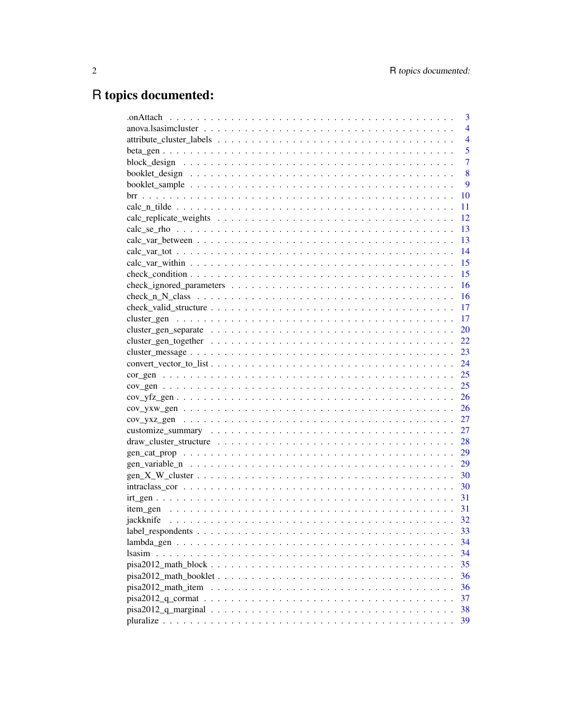# R topics documented:

|           | 3              |
|-----------|----------------|
|           | $\overline{4}$ |
|           | $\overline{4}$ |
|           | 5              |
|           | 7              |
|           | 8              |
|           | 9              |
|           | 10             |
|           | 11             |
|           | 12             |
|           | 13             |
|           | 13             |
|           | 14             |
|           | 15             |
|           | 15             |
|           | 16             |
|           | 16             |
|           | -17            |
|           | -17            |
|           | 20             |
|           | 22             |
|           | 23             |
|           |                |
|           |                |
|           | 25             |
|           | 26             |
|           |                |
|           | 27             |
|           | 27             |
|           | 28             |
|           |                |
|           | 29             |
|           | 30             |
|           | 30             |
|           | 31             |
|           | 31             |
| jackknife | 32             |
|           | 33             |
|           | 34             |
|           | 34             |
|           | 35             |
|           | 36             |
|           |                |
|           | 36             |
|           | 37             |
|           | 38             |
|           | 39             |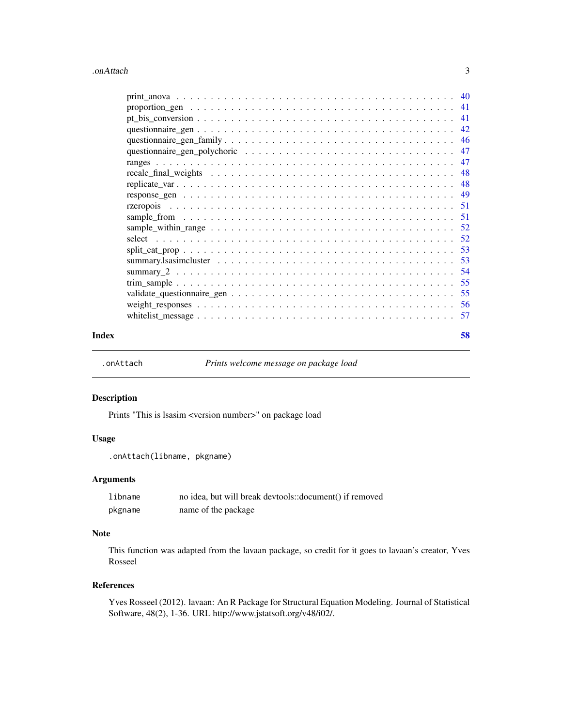#### <span id="page-2-0"></span>.onAttach 3

|       | questionnaire_gen_polychoric $\ldots \ldots \ldots \ldots \ldots \ldots \ldots \ldots \ldots \ldots \ldots \ldots$ 47 |    |
|-------|-----------------------------------------------------------------------------------------------------------------------|----|
|       |                                                                                                                       |    |
|       |                                                                                                                       |    |
|       |                                                                                                                       |    |
|       |                                                                                                                       |    |
|       |                                                                                                                       |    |
|       |                                                                                                                       |    |
|       |                                                                                                                       |    |
|       |                                                                                                                       |    |
|       |                                                                                                                       |    |
|       |                                                                                                                       |    |
|       |                                                                                                                       |    |
|       |                                                                                                                       |    |
|       |                                                                                                                       |    |
|       |                                                                                                                       |    |
|       |                                                                                                                       |    |
| Index |                                                                                                                       | 58 |

.onAttach *Prints welcome message on package load*

# Description

Prints "This is lsasim <version number>" on package load

# Usage

.onAttach(libname, pkgname)

#### Arguments

| libname | no idea, but will break devtools::document() if removed |
|---------|---------------------------------------------------------|
| pkgname | name of the package                                     |

#### Note

This function was adapted from the lavaan package, so credit for it goes to lavaan's creator, Yves Rosseel

# References

Yves Rosseel (2012). lavaan: An R Package for Structural Equation Modeling. Journal of Statistical Software, 48(2), 1-36. URL http://www.jstatsoft.org/v48/i02/.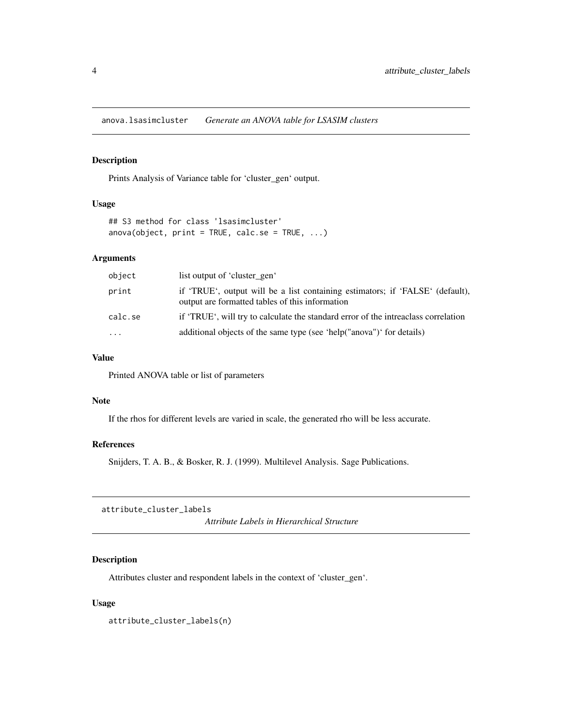<span id="page-3-0"></span>anova.lsasimcluster *Generate an ANOVA table for LSASIM clusters*

# Description

Prints Analysis of Variance table for 'cluster\_gen' output.

#### Usage

```
## S3 method for class 'lsasimcluster'
anova(object, print = TRUE, calc.se = TRUE, ...)
```
#### Arguments

| object   | list output of 'cluster gen'                                                                                                     |
|----------|----------------------------------------------------------------------------------------------------------------------------------|
| print    | if 'TRUE', output will be a list containing estimators; if 'FALSE' (default),<br>output are formatted tables of this information |
| calc.se  | if 'TRUE', will try to calculate the standard error of the intreaclass correlation                                               |
| $\ddots$ | additional objects of the same type (see 'help("anova")' for details)                                                            |

#### Value

Printed ANOVA table or list of parameters

#### Note

If the rhos for different levels are varied in scale, the generated rho will be less accurate.

#### References

Snijders, T. A. B., & Bosker, R. J. (1999). Multilevel Analysis. Sage Publications.

attribute\_cluster\_labels

*Attribute Labels in Hierarchical Structure*

# Description

Attributes cluster and respondent labels in the context of 'cluster\_gen'.

#### Usage

attribute\_cluster\_labels(n)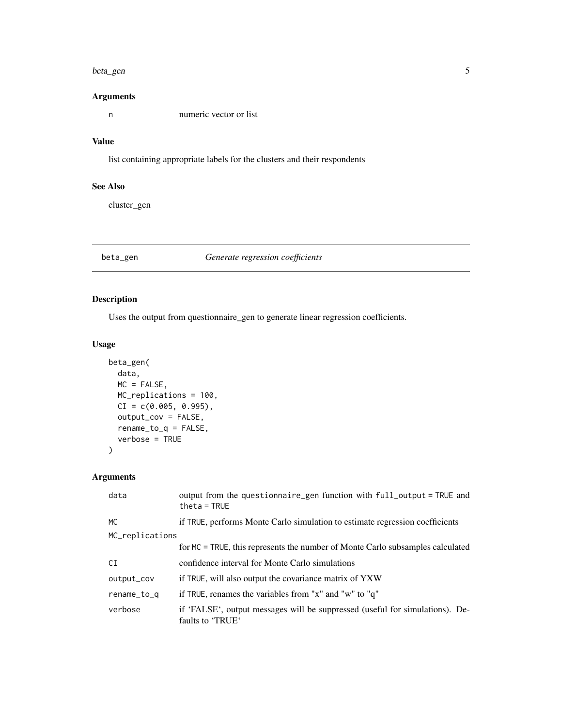#### <span id="page-4-0"></span>beta\_gen 5

# Arguments

n numeric vector or list

# Value

list containing appropriate labels for the clusters and their respondents

# See Also

cluster\_gen

beta\_gen *Generate regression coefficients*

# Description

Uses the output from questionnaire\_gen to generate linear regression coefficients.

# Usage

```
beta_gen(
 data,
 MC = FALSE,
 MC_replications = 100,
 CI = c(0.005, 0.995),
 output_cov = FALSE,
  rename_to_q = FALSE,
  verbose = TRUE
)
```

| data            | output from the questionnaire_gen function with full_output = TRUE and<br>theta = $TRUE$         |
|-----------------|--------------------------------------------------------------------------------------------------|
| <b>MC</b>       | if TRUE, performs Monte Carlo simulation to estimate regression coefficients                     |
| MC_replications |                                                                                                  |
|                 | for MC = TRUE, this represents the number of Monte Carlo subsamples calculated                   |
| CI              | confidence interval for Monte Carlo simulations                                                  |
| output_cov      | if TRUE, will also output the covariance matrix of YXW                                           |
| rename_to_q     | if TRUE, renames the variables from "x" and "w" to "q"                                           |
| verbose         | if 'FALSE', output messages will be suppressed (useful for simulations). De-<br>faults to 'TRUE' |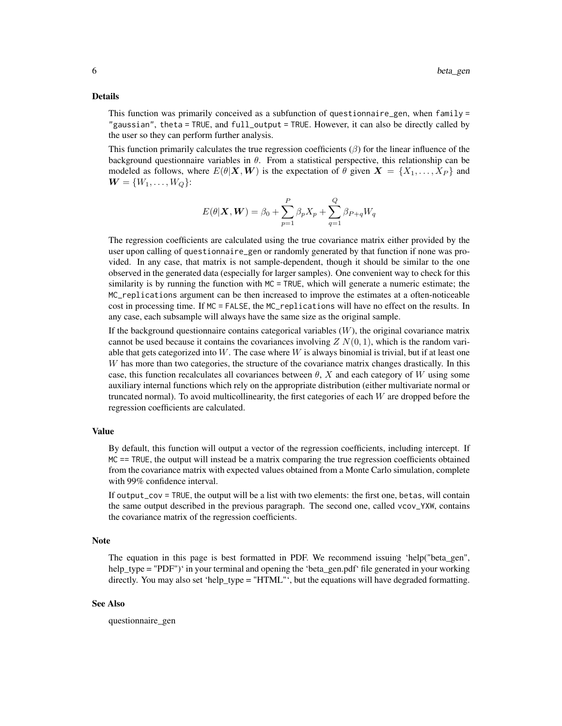#### Details

This function was primarily conceived as a subfunction of questionnaire gen, when  $f$ amily = "gaussian", theta = TRUE, and full\_output = TRUE. However, it can also be directly called by the user so they can perform further analysis.

This function primarily calculates the true regression coefficients  $(\beta)$  for the linear influence of the background questionnaire variables in  $\theta$ . From a statistical perspective, this relationship can be modeled as follows, where  $E(\theta|\mathbf{X}, \mathbf{W})$  is the expectation of  $\theta$  given  $\mathbf{X} = \{X_1, \dots, X_P\}$  and  $W = \{W_1, \ldots, W_O\}$ :

$$
E(\theta|\boldsymbol{X}, \boldsymbol{W}) = \beta_0 + \sum_{p=1}^P \beta_p X_p + \sum_{q=1}^Q \beta_{P+q} W_q
$$

The regression coefficients are calculated using the true covariance matrix either provided by the user upon calling of questionnaire\_gen or randomly generated by that function if none was provided. In any case, that matrix is not sample-dependent, though it should be similar to the one observed in the generated data (especially for larger samples). One convenient way to check for this similarity is by running the function with MC = TRUE, which will generate a numeric estimate; the MC\_replications argument can be then increased to improve the estimates at a often-noticeable cost in processing time. If MC = FALSE, the MC\_replications will have no effect on the results. In any case, each subsample will always have the same size as the original sample.

If the background questionnaire contains categorical variables  $(W)$ , the original covariance matrix cannot be used because it contains the covariances involving  $Z N(0, 1)$ , which is the random variable that gets categorized into W. The case where  $W$  is always binomial is trivial, but if at least one W has more than two categories, the structure of the covariance matrix changes drastically. In this case, this function recalculates all covariances between  $\theta$ , X and each category of W using some auxiliary internal functions which rely on the appropriate distribution (either multivariate normal or truncated normal). To avoid multicollinearity, the first categories of each  $W$  are dropped before the regression coefficients are calculated.

#### Value

By default, this function will output a vector of the regression coefficients, including intercept. If MC == TRUE, the output will instead be a matrix comparing the true regression coefficients obtained from the covariance matrix with expected values obtained from a Monte Carlo simulation, complete with 99% confidence interval.

If output\_cov = TRUE, the output will be a list with two elements: the first one, betas, will contain the same output described in the previous paragraph. The second one, called vcov\_YXW, contains the covariance matrix of the regression coefficients.

#### Note

The equation in this page is best formatted in PDF. We recommend issuing 'help("beta\_gen", help\_type = "PDF")' in your terminal and opening the 'beta\_gen.pdf' file generated in your working directly. You may also set 'help\_type = "HTML"', but the equations will have degraded formatting.

#### See Also

questionnaire\_gen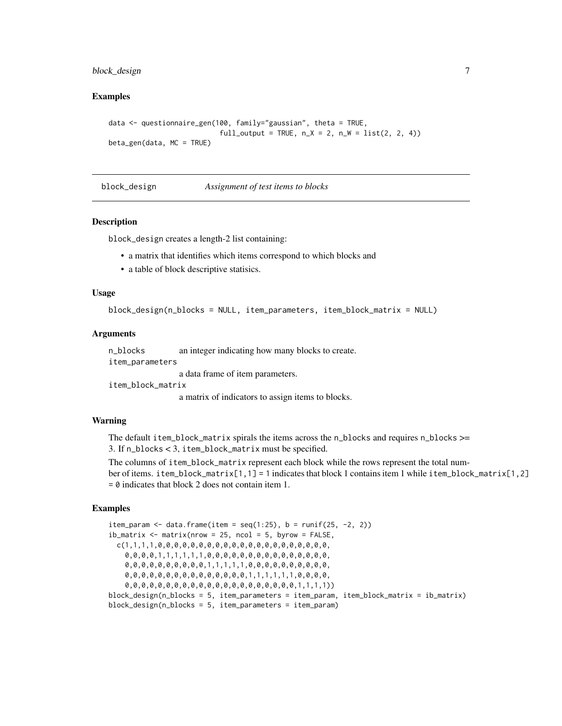#### <span id="page-6-0"></span>block\_design 7

#### Examples

```
data <- questionnaire_gen(100, family="gaussian", theta = TRUE,
                          full_output = TRUE, n_X = 2, n_W = list(2, 2, 4)beta_gen(data, MC = TRUE)
```
block\_design *Assignment of test items to blocks*

#### Description

block\_design creates a length-2 list containing:

- a matrix that identifies which items correspond to which blocks and
- a table of block descriptive statisics.

#### Usage

block\_design(n\_blocks = NULL, item\_parameters, item\_block\_matrix = NULL)

#### Arguments

n\_blocks an integer indicating how many blocks to create.

item\_parameters

a data frame of item parameters.

item\_block\_matrix

a matrix of indicators to assign items to blocks.

#### Warning

The default item\_block\_matrix spirals the items across the n\_blocks and requires n\_blocks >= 3. If n\_blocks < 3, item\_block\_matrix must be specified.

The columns of item\_block\_matrix represent each block while the rows represent the total number of items. item\_block\_matrix[1,1] = 1 indicates that block 1 contains item 1 while item\_block\_matrix[1,2]  $= 0$  indicates that block 2 does not contain item 1.

#### Examples

item\_param <- data.frame(item =  $seq(1:25)$ ,  $b = runif(25, -2, 2)$ )  $ib_matrix < -matrix$  matrix(nrow = 25, ncol = 5, byrow = FALSE, c(1,1,1,1,0,0,0,0,0,0,0,0,0,0,0,0,0,0,0,0,0,0,0,0,0, 0,0,0,0,1,1,1,1,1,1,0,0,0,0,0,0,0,0,0,0,0,0,0,0,0, 0,0,0,0,0,0,0,0,0,0,1,1,1,1,1,0,0,0,0,0,0,0,0,0,0, 0,0,0,0,0,0,0,0,0,0,0,0,0,0,0,1,1,1,1,1,1,0,0,0,0, 0,0,0,0,0,0,0,0,0,0,0,0,0,0,0,0,0,0,0,0,0,1,1,1,1)) block\_design(n\_blocks = 5, item\_parameters = item\_param, item\_block\_matrix = ib\_matrix) block\_design(n\_blocks = 5, item\_parameters = item\_param)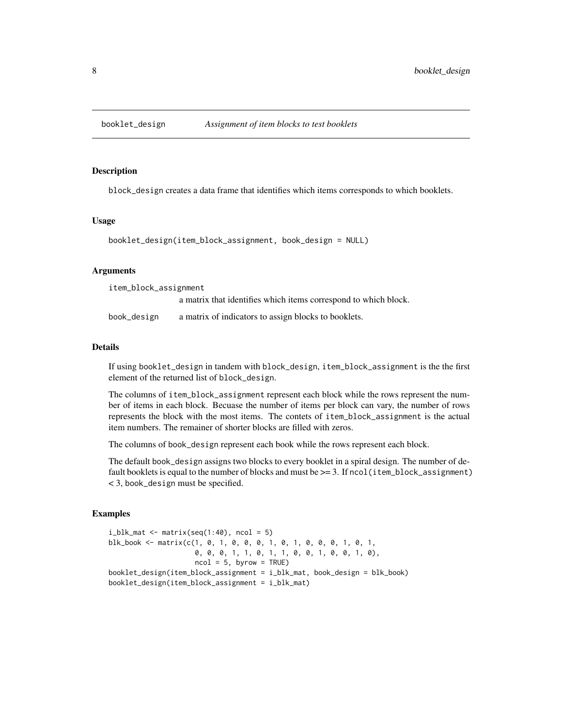<span id="page-7-0"></span>block\_design creates a data frame that identifies which items corresponds to which booklets.

#### Usage

booklet\_design(item\_block\_assignment, book\_design = NULL)

#### Arguments

| item_block_assignment |                                                                 |
|-----------------------|-----------------------------------------------------------------|
|                       | a matrix that identifies which items correspond to which block. |
| book_design           | a matrix of indicators to assign blocks to booklets.            |

#### Details

If using booklet\_design in tandem with block\_design, item\_block\_assignment is the the first element of the returned list of block\_design.

The columns of item\_block\_assignment represent each block while the rows represent the number of items in each block. Becuase the number of items per block can vary, the number of rows represents the block with the most items. The contets of item\_block\_assignment is the actual item numbers. The remainer of shorter blocks are filled with zeros.

The columns of book\_design represent each book while the rows represent each block.

The default book\_design assigns two blocks to every booklet in a spiral design. The number of default booklets is equal to the number of blocks and must be  $\geq$  = 3. If ncol(item\_block\_assignment) < 3, book\_design must be specified.

#### Examples

```
i_blk_mat \leq matrix(seq(1:40), ncol = 5)
blk_book <- matrix(c(1, 0, 1, 0, 0, 0, 1, 0, 1, 0, 0, 0, 1, 0, 1,
                     0, 0, 0, 1, 1, 0, 1, 1, 0, 0, 1, 0, 0, 1, 0),
                     ncol = 5, byrow = TRUE)
booklet_design(item_block_assignment = i_blk_mat, book_design = blk_book)
booklet_design(item_block_assignment = i_blk_mat)
```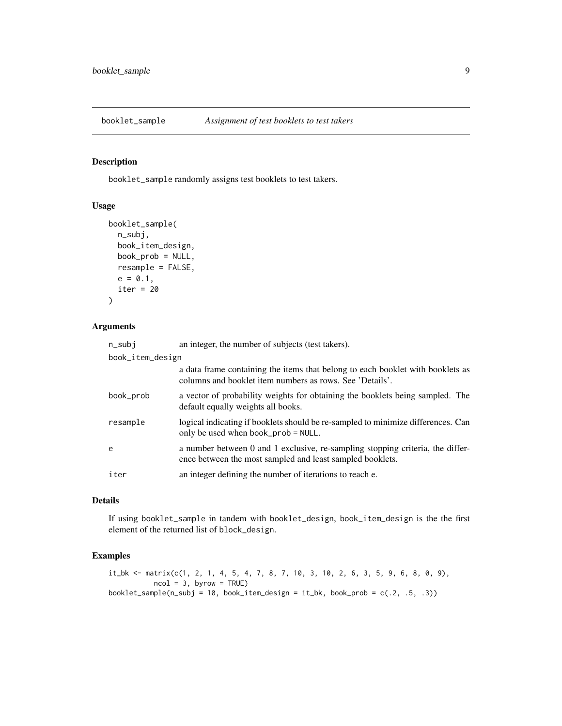<span id="page-8-0"></span>

booklet\_sample randomly assigns test booklets to test takers.

# Usage

```
booklet_sample(
  n_subj,
 book_item_design,
 book_prob = NULL,
  resample = FALSE,
 e = 0.1,
  iter = 20
)
```
#### Arguments

| n_subj    | an integer, the number of subjects (test takers).                                                                                           |  |
|-----------|---------------------------------------------------------------------------------------------------------------------------------------------|--|
|           | book_item_design                                                                                                                            |  |
|           | a data frame containing the items that belong to each booklet with booklets as<br>columns and booklet item numbers as rows. See 'Details'.  |  |
| book_prob | a vector of probability weights for obtaining the booklets being sampled. The<br>default equally weights all books.                         |  |
| resample  | logical indicating if booklets should be re-sampled to minimize differences. Can<br>only be used when book_prob = $NULL$ .                  |  |
| e         | a number between 0 and 1 exclusive, re-sampling stopping criteria, the differ-<br>ence between the most sampled and least sampled booklets. |  |
| iter      | an integer defining the number of iterations to reach e.                                                                                    |  |

#### Details

If using booklet\_sample in tandem with booklet\_design, book\_item\_design is the the first element of the returned list of block\_design.

#### Examples

```
it_b <- matrix(c(1, 2, 1, 4, 5, 4, 7, 8, 7, 10, 3, 10, 2, 6, 3, 5, 9, 6, 8, 0, 9),
          ncol = 3, byrow = TRUE)
booklet_sample(n_subj = 10, book_item_design = it_bk, book_prob = c(.2, .5, .3))
```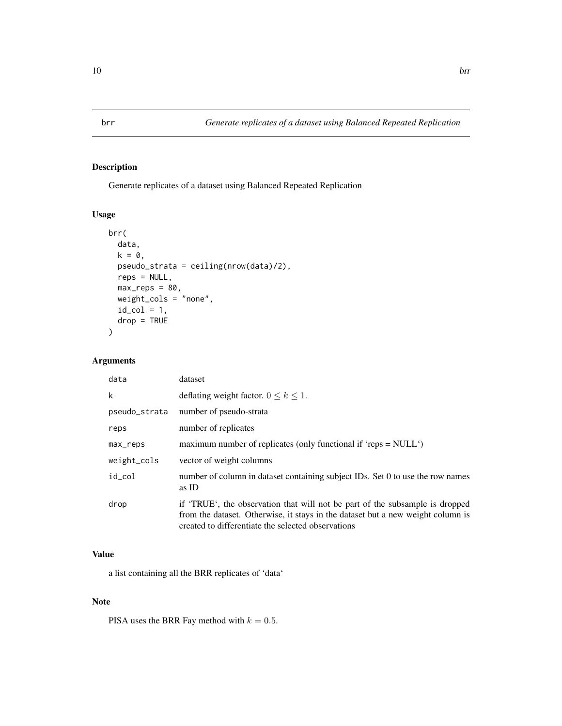<span id="page-9-0"></span>

Generate replicates of a dataset using Balanced Repeated Replication

# Usage

```
brr(
  data,
  k = 0,pseudo_strata = ceiling(nrow(data)/2),
  reps = NULL,
  max\_reps = 80,
  weight_cols = "none",
  id\_col = 1,
  drop = TRUE
)
```
# Arguments

| data          | dataset                                                                                                                                                                                                               |
|---------------|-----------------------------------------------------------------------------------------------------------------------------------------------------------------------------------------------------------------------|
| k             | deflating weight factor. $0 \le k \le 1$ .                                                                                                                                                                            |
| pseudo_strata | number of pseudo-strata                                                                                                                                                                                               |
| reps          | number of replicates                                                                                                                                                                                                  |
| max_reps      | maximum number of replicates (only functional if 'reps $= NULL$ ')                                                                                                                                                    |
| weight_cols   | vector of weight columns                                                                                                                                                                                              |
| id_col        | number of column in dataset containing subject IDs. Set 0 to use the row names<br>as ID                                                                                                                               |
| drop          | if 'TRUE', the observation that will not be part of the subsample is dropped<br>from the dataset. Otherwise, it stays in the dataset but a new weight column is<br>created to differentiate the selected observations |

#### Value

a list containing all the BRR replicates of 'data'

#### Note

PISA uses the BRR Fay method with  $k = 0.5$ .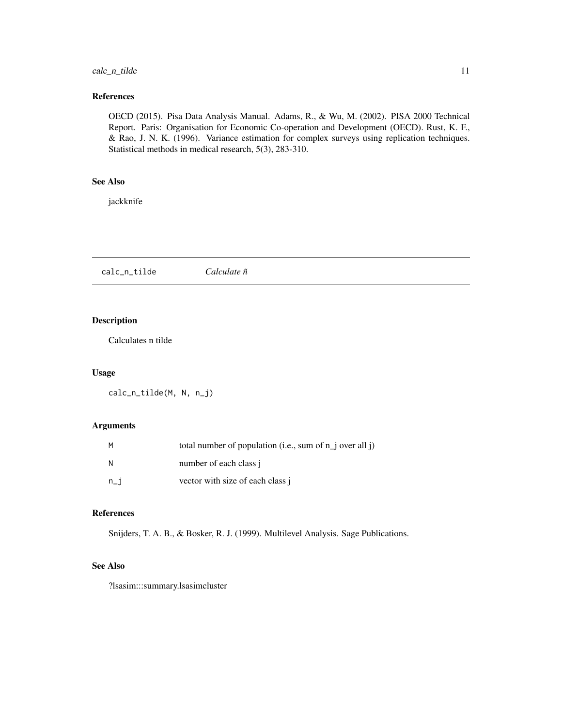# <span id="page-10-0"></span>calc\_n\_tilde 11

#### References

OECD (2015). Pisa Data Analysis Manual. Adams, R., & Wu, M. (2002). PISA 2000 Technical Report. Paris: Organisation for Economic Co-operation and Development (OECD). Rust, K. F., & Rao, J. N. K. (1996). Variance estimation for complex surveys using replication techniques. Statistical methods in medical research, 5(3), 283-310.

#### See Also

jackknife

calc\_n\_tilde *Calculate ñ*

# Description

Calculates n tilde

#### Usage

calc\_n\_tilde(M, N, n\_j)

#### Arguments

| М     | total number of population (i.e., sum of $n_i$ over all j) |
|-------|------------------------------------------------------------|
| N     | number of each class j                                     |
| $n_i$ | vector with size of each class j                           |

#### References

Snijders, T. A. B., & Bosker, R. J. (1999). Multilevel Analysis. Sage Publications.

# See Also

?lsasim:::summary.lsasimcluster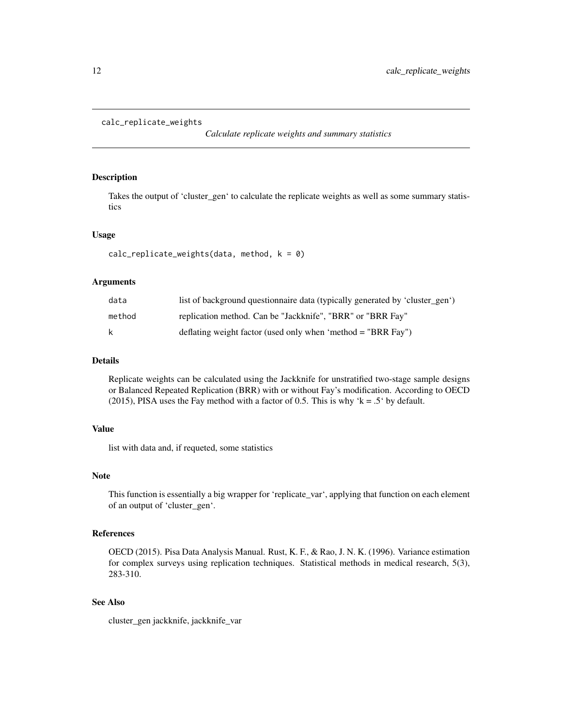```
calc_replicate_weights
```
*Calculate replicate weights and summary statistics*

#### Description

Takes the output of 'cluster\_gen' to calculate the replicate weights as well as some summary statistics

#### Usage

```
calc_replicate_weights(data, method, k = 0)
```
#### Arguments

| data   | list of background questionnaire data (typically generated by 'cluster_gen') |
|--------|------------------------------------------------------------------------------|
| method | replication method. Can be "Jackknife", "BRR" or "BRR Fay"                   |
| k      | deflating weight factor (used only when 'method $=$ "BRR Fay")               |

#### Details

Replicate weights can be calculated using the Jackknife for unstratified two-stage sample designs or Balanced Repeated Replication (BRR) with or without Fay's modification. According to OECD (2015), PISA uses the Fay method with a factor of 0.5. This is why ' $k = 0.5$ ' by default.

#### Value

list with data and, if requeted, some statistics

#### Note

This function is essentially a big wrapper for 'replicate\_var', applying that function on each element of an output of 'cluster\_gen'.

#### References

OECD (2015). Pisa Data Analysis Manual. Rust, K. F., & Rao, J. N. K. (1996). Variance estimation for complex surveys using replication techniques. Statistical methods in medical research, 5(3), 283-310.

#### See Also

cluster\_gen jackknife, jackknife\_var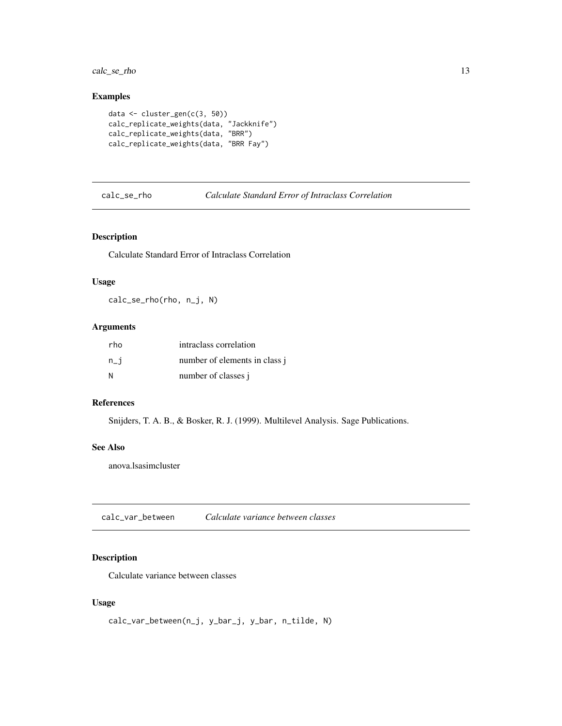<span id="page-12-0"></span>calc\_se\_rho 13

# Examples

```
data <- cluster_gen(c(3, 50))
calc_replicate_weights(data, "Jackknife")
calc_replicate_weights(data, "BRR")
calc_replicate_weights(data, "BRR Fay")
```
calc\_se\_rho *Calculate Standard Error of Intraclass Correlation*

# Description

Calculate Standard Error of Intraclass Correlation

#### Usage

calc\_se\_rho(rho, n\_j, N)

#### Arguments

| rho   | intraclass correlation        |
|-------|-------------------------------|
| $n_i$ | number of elements in class j |
| N     | number of classes j           |

#### References

Snijders, T. A. B., & Bosker, R. J. (1999). Multilevel Analysis. Sage Publications.

#### See Also

anova.lsasimcluster

calc\_var\_between *Calculate variance between classes*

# Description

Calculate variance between classes

#### Usage

calc\_var\_between(n\_j, y\_bar\_j, y\_bar, n\_tilde, N)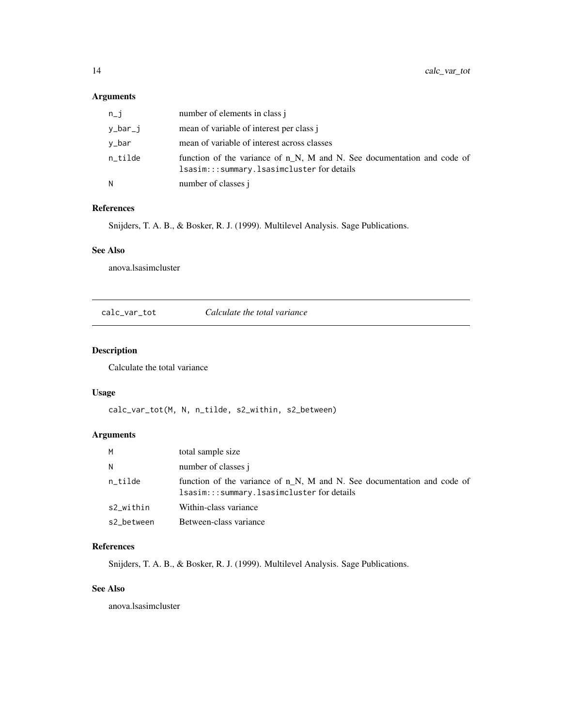# <span id="page-13-0"></span>Arguments

| $n_{-}j$ | number of elements in class j                                                                                                     |
|----------|-----------------------------------------------------------------------------------------------------------------------------------|
| y_bar_j  | mean of variable of interest per class j                                                                                          |
| v_bar    | mean of variable of interest across classes                                                                                       |
| n_tilde  | function of the variance of n <sub>N</sub> , M and N. See documentation and code of<br>lsasim:::summary.lsasimcluster for details |
| N        | number of classes j                                                                                                               |

#### References

Snijders, T. A. B., & Bosker, R. J. (1999). Multilevel Analysis. Sage Publications.

#### See Also

anova.lsasimcluster

calc\_var\_tot *Calculate the total variance*

# Description

Calculate the total variance

# Usage

calc\_var\_tot(M, N, n\_tilde, s2\_within, s2\_between)

# Arguments

| M          | total sample size                                                                                                               |
|------------|---------------------------------------------------------------------------------------------------------------------------------|
| N          | number of classes j                                                                                                             |
| n tilde    | function of the variance of n <sub>N</sub> , M and N. See documentation and code of<br>lsasim:::summary.lsasimclusterfordetails |
| s2_within  | Within-class variance                                                                                                           |
| s2 between | Between-class variance                                                                                                          |

#### References

Snijders, T. A. B., & Bosker, R. J. (1999). Multilevel Analysis. Sage Publications.

#### See Also

anova.lsasimcluster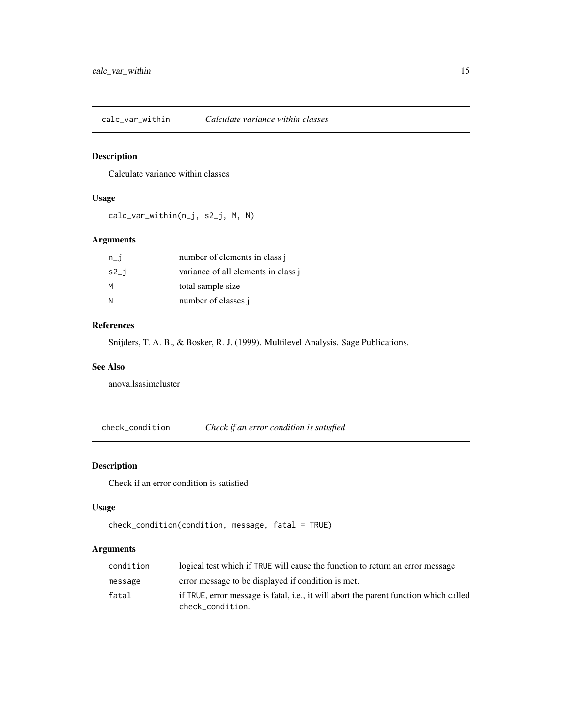<span id="page-14-0"></span>calc\_var\_within *Calculate variance within classes*

# Description

Calculate variance within classes

# Usage

calc\_var\_within(n\_j, s2\_j, M, N)

# Arguments

| n_i    | number of elements in class j       |
|--------|-------------------------------------|
| $s2_i$ | variance of all elements in class j |
| М      | total sample size                   |
| Ν      | number of classes i                 |

#### References

Snijders, T. A. B., & Bosker, R. J. (1999). Multilevel Analysis. Sage Publications.

#### See Also

anova.lsasimcluster

check\_condition *Check if an error condition is satisfied*

# Description

Check if an error condition is satisfied

#### Usage

```
check_condition(condition, message, fatal = TRUE)
```

| condition | logical test which if TRUE will cause the function to return an error message                             |
|-----------|-----------------------------------------------------------------------------------------------------------|
| message   | error message to be displayed if condition is met.                                                        |
| fatal     | if TRUE, error message is fatal, i.e., it will abort the parent function which called<br>check condition. |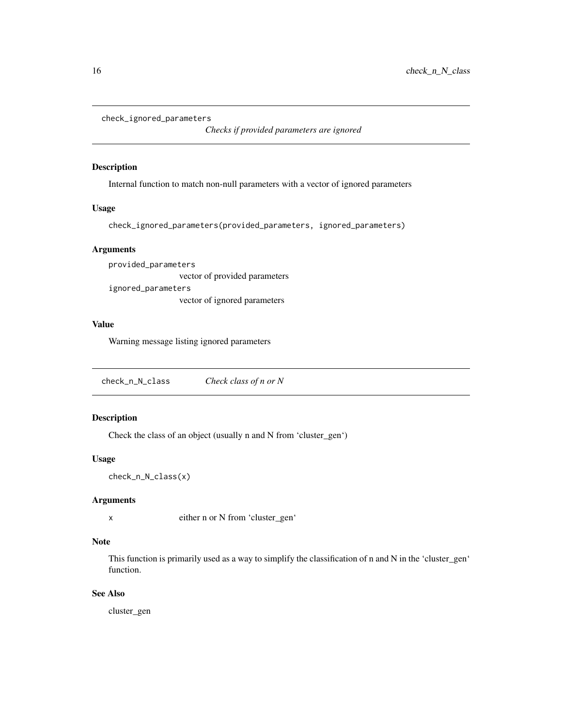```
check_ignored_parameters
```
*Checks if provided parameters are ignored*

#### Description

Internal function to match non-null parameters with a vector of ignored parameters

#### Usage

```
check_ignored_parameters(provided_parameters, ignored_parameters)
```
#### Arguments

provided\_parameters vector of provided parameters ignored\_parameters vector of ignored parameters

#### Value

Warning message listing ignored parameters

check\_n\_N\_class *Check class of n or N*

#### Description

Check the class of an object (usually n and N from 'cluster\_gen')

#### Usage

```
check_n_N_class(x)
```
#### Arguments

```
x either n or N from 'cluster_gen'
```
#### Note

This function is primarily used as a way to simplify the classification of n and N in the 'cluster\_gen' function.

#### See Also

cluster\_gen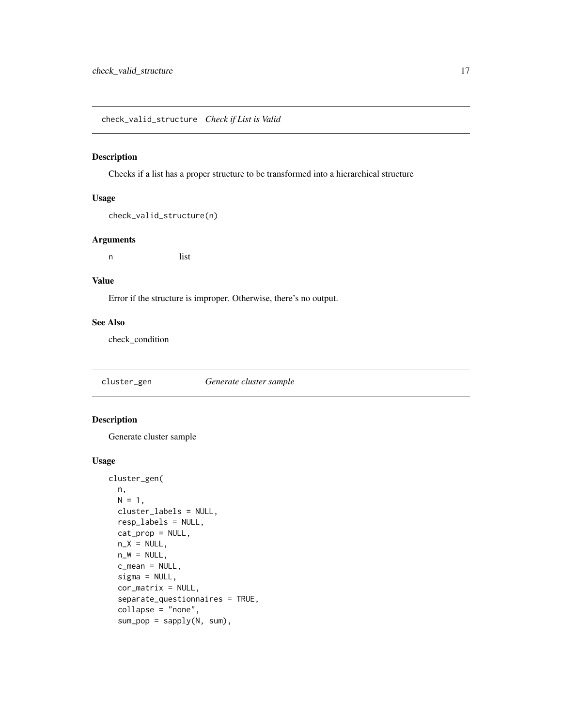<span id="page-16-0"></span>check\_valid\_structure *Check if List is Valid*

#### Description

Checks if a list has a proper structure to be transformed into a hierarchical structure

#### Usage

```
check_valid_structure(n)
```
#### Arguments

n list

#### Value

Error if the structure is improper. Otherwise, there's no output.

### See Also

check\_condition

cluster\_gen *Generate cluster sample*

#### Description

Generate cluster sample

#### Usage

```
cluster_gen(
 n,
 N = 1,
 cluster_labels = NULL,
  resp_labels = NULL,
  cat_prop = NULL,
  n_X = NULL,
  n_W = NULL,c_mean = NULL,
  signa = NULL,cor_matrix = NULL,
  separate_questionnaires = TRUE,
  collapse = "none",
  sum\_pop = sapply(N, sum),
```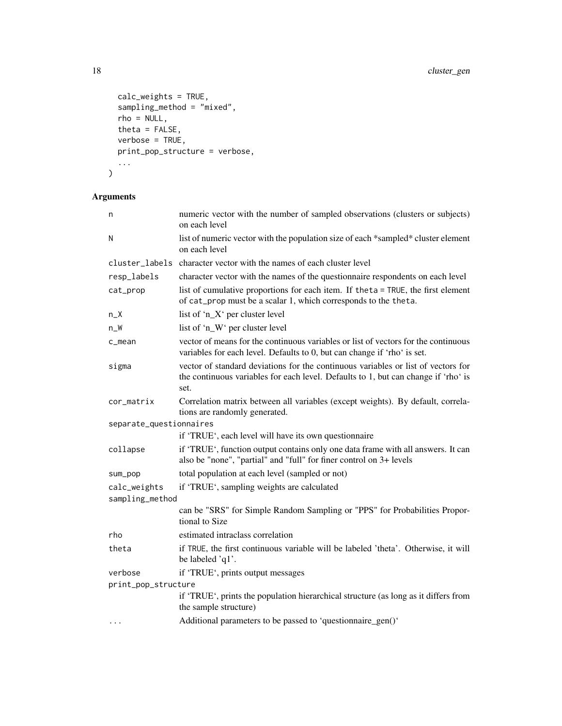```
calc_weights = TRUE,
  sampling_method = "mixed",
 rho = NULL,theta = FALSE,verbase = TRUE,print_pop_structure = verbose,
  ...
\lambda
```

| n                                                                             | numeric vector with the number of sampled observations (clusters or subjects)<br>on each level                                                                                  |  |
|-------------------------------------------------------------------------------|---------------------------------------------------------------------------------------------------------------------------------------------------------------------------------|--|
| N                                                                             | list of numeric vector with the population size of each *sampled* cluster element<br>on each level                                                                              |  |
|                                                                               | cluster_labels character vector with the names of each cluster level                                                                                                            |  |
| resp_labels                                                                   | character vector with the names of the questionnaire respondents on each level                                                                                                  |  |
| cat_prop                                                                      | list of cumulative proportions for each item. If theta = TRUE, the first element<br>of cat_prop must be a scalar 1, which corresponds to the theta.                             |  |
| $n_X$                                                                         | list of 'n_X' per cluster level                                                                                                                                                 |  |
| $n_W$                                                                         | list of 'n_W' per cluster level                                                                                                                                                 |  |
| c_mean                                                                        | vector of means for the continuous variables or list of vectors for the continuous<br>variables for each level. Defaults to 0, but can change if 'rho' is set.                  |  |
| sigma                                                                         | vector of standard deviations for the continuous variables or list of vectors for<br>the continuous variables for each level. Defaults to 1, but can change if 'rho' is<br>set. |  |
| cor_matrix                                                                    | Correlation matrix between all variables (except weights). By default, correla-<br>tions are randomly generated.                                                                |  |
| separate_questionnaires                                                       |                                                                                                                                                                                 |  |
|                                                                               | if 'TRUE', each level will have its own questionnaire                                                                                                                           |  |
| collapse                                                                      | if 'TRUE', function output contains only one data frame with all answers. It can<br>also be "none", "partial" and "full" for finer control on 3+ levels                         |  |
| sum_pop                                                                       | total population at each level (sampled or not)                                                                                                                                 |  |
| if 'TRUE', sampling weights are calculated<br>calc_weights<br>sampling_method |                                                                                                                                                                                 |  |
|                                                                               | can be "SRS" for Simple Random Sampling or "PPS" for Probabilities Propor-<br>tional to Size                                                                                    |  |
| rho                                                                           | estimated intraclass correlation                                                                                                                                                |  |
| theta                                                                         | if TRUE, the first continuous variable will be labeled 'theta'. Otherwise, it will<br>be labeled 'q1'.                                                                          |  |
| verbose                                                                       | if 'TRUE', prints output messages                                                                                                                                               |  |
| print_pop_structure                                                           |                                                                                                                                                                                 |  |
|                                                                               | if 'TRUE', prints the population hierarchical structure (as long as it differs from<br>the sample structure)                                                                    |  |
| $\cdots$                                                                      | Additional parameters to be passed to 'questionnaire_gen()'                                                                                                                     |  |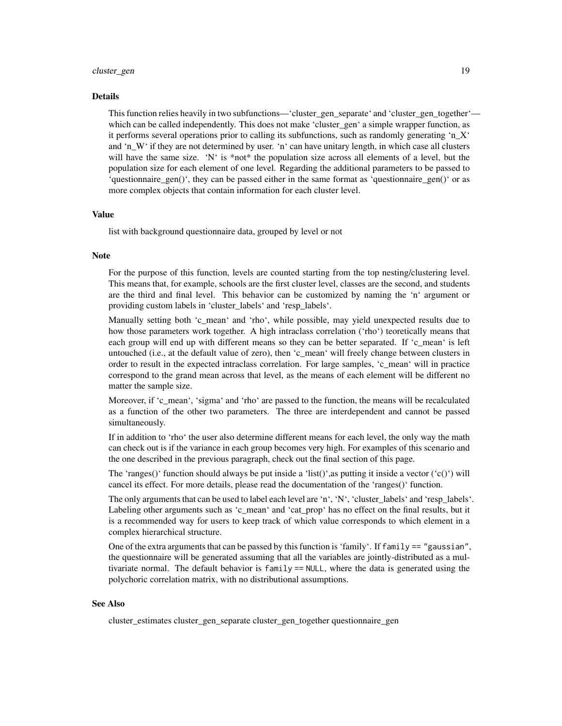# cluster\_gen 19

#### Details

This function relies heavily in two subfunctions—'cluster gen separate' and 'cluster gen together' which can be called independently. This does not make 'cluster\_gen' a simple wrapper function, as it performs several operations prior to calling its subfunctions, such as randomly generating 'n  $X'$ and 'n\_W' if they are not determined by user. 'n' can have unitary length, in which case all clusters will have the same size. 'N' is \*not\* the population size across all elements of a level, but the population size for each element of one level. Regarding the additional parameters to be passed to 'questionnaire\_gen()', they can be passed either in the same format as 'questionnaire\_gen()' or as more complex objects that contain information for each cluster level.

#### Value

list with background questionnaire data, grouped by level or not

#### **Note**

For the purpose of this function, levels are counted starting from the top nesting/clustering level. This means that, for example, schools are the first cluster level, classes are the second, and students are the third and final level. This behavior can be customized by naming the 'n' argument or providing custom labels in 'cluster\_labels' and 'resp\_labels'.

Manually setting both 'c\_mean' and 'rho', while possible, may yield unexpected results due to how those parameters work together. A high intraclass correlation ('rho') teoretically means that each group will end up with different means so they can be better separated. If 'c\_mean' is left untouched (i.e., at the default value of zero), then 'c\_mean' will freely change between clusters in order to result in the expected intraclass correlation. For large samples, 'c\_mean' will in practice correspond to the grand mean across that level, as the means of each element will be different no matter the sample size.

Moreover, if 'c\_mean', 'sigma' and 'rho' are passed to the function, the means will be recalculated as a function of the other two parameters. The three are interdependent and cannot be passed simultaneously.

If in addition to 'rho' the user also determine different means for each level, the only way the math can check out is if the variance in each group becomes very high. For examples of this scenario and the one described in the previous paragraph, check out the final section of this page.

The 'ranges()' function should always be put inside a 'list()', as putting it inside a vector ('c()') will cancel its effect. For more details, please read the documentation of the 'ranges()' function.

The only arguments that can be used to label each level are 'n', 'N', 'cluster\_labels' and 'resp\_labels'. Labeling other arguments such as 'c\_mean' and 'cat\_prop' has no effect on the final results, but it is a recommended way for users to keep track of which value corresponds to which element in a complex hierarchical structure.

One of the extra arguments that can be passed by this function is 'family'. If family  $=$  "gaussian", the questionnaire will be generated assuming that all the variables are jointly-distributed as a multivariate normal. The default behavior is family == NULL, where the data is generated using the polychoric correlation matrix, with no distributional assumptions.

#### See Also

cluster\_estimates cluster\_gen\_separate cluster\_gen\_together questionnaire\_gen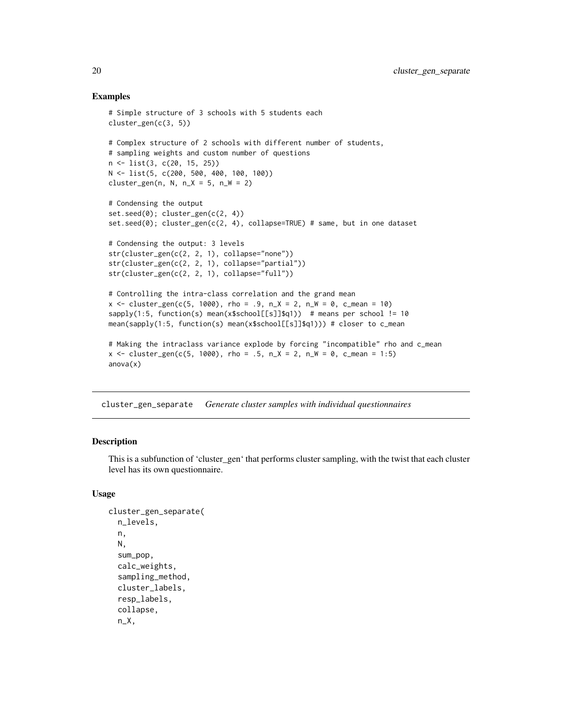#### Examples

```
# Simple structure of 3 schools with 5 students each
cluster_gen(c(3, 5))
# Complex structure of 2 schools with different number of students,
# sampling weights and custom number of questions
n <- list(3, c(20, 15, 25))
N <- list(5, c(200, 500, 400, 100, 100))
cluster_gen(n, N, n_X = 5, n_W = 2)
# Condensing the output
set.seed(0); cluster_gen(c(2, 4))
set.seed(0); cluster_gen(c(2, 4), collapse=TRUE) # same, but in one dataset
# Condensing the output: 3 levels
str(cluster_gen(c(2, 2, 1), collapse="none"))
str(cluster_gen(c(2, 2, 1), collapse="partial"))
str(cluster_gen(c(2, 2, 1), collapse="full"))
# Controlling the intra-class correlation and the grand mean
x \le - cluster_gen(c(5, 1000), rho = .9, n_X = 2, n_W = 0, c_mean = 10)
sapply(1:5, function(s) mean(x$school[[s]]$q1)) # means per school != 10
mean(sapply(1:5, function(s) mean(x$school[[s]]$q1))) # closer to c_mean
# Making the intraclass variance explode by forcing "incompatible" rho and c_mean
x <- cluster_gen(c(5, 1000), rho = .5, n_X = 2, n_W = 0, c_mean = 1:5)
anova(x)
```
cluster\_gen\_separate *Generate cluster samples with individual questionnaires*

#### Description

This is a subfunction of 'cluster\_gen' that performs cluster sampling, with the twist that each cluster level has its own questionnaire.

#### Usage

```
cluster_gen_separate(
  n_levels,
  n,
  N,
  sum_pop,
  calc_weights,
  sampling_method,
  cluster_labels,
  resp_labels,
  collapse,
  n_X,
```
<span id="page-19-0"></span>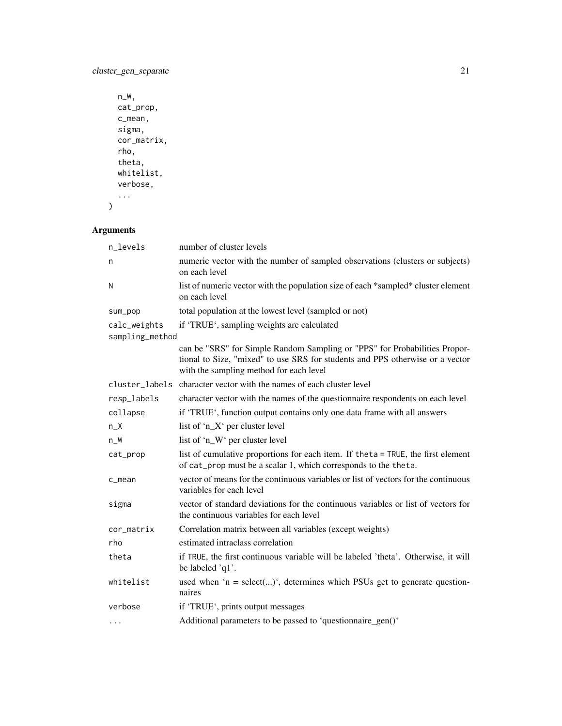# cluster\_gen\_separate 21

```
n_W,
 cat_prop,
  c_mean,
  sigma,
 cor_matrix,
  rho,
  theta,
  whitelist,
  verbose,
  ...
)
```

| n_levels        | number of cluster levels                                                                                                                                                                               |
|-----------------|--------------------------------------------------------------------------------------------------------------------------------------------------------------------------------------------------------|
| n               | numeric vector with the number of sampled observations (clusters or subjects)<br>on each level                                                                                                         |
| N               | list of numeric vector with the population size of each *sampled* cluster element<br>on each level                                                                                                     |
| sum_pop         | total population at the lowest level (sampled or not)                                                                                                                                                  |
| calc_weights    | if 'TRUE', sampling weights are calculated                                                                                                                                                             |
| sampling_method |                                                                                                                                                                                                        |
|                 | can be "SRS" for Simple Random Sampling or "PPS" for Probabilities Propor-<br>tional to Size, "mixed" to use SRS for students and PPS otherwise or a vector<br>with the sampling method for each level |
|                 | cluster_labels character vector with the names of each cluster level                                                                                                                                   |
| resp_labels     | character vector with the names of the questionnaire respondents on each level                                                                                                                         |
| collapse        | if 'TRUE', function output contains only one data frame with all answers                                                                                                                               |
| $n_X$           | list of 'n_X' per cluster level                                                                                                                                                                        |
| $n_W$           | list of 'n_W' per cluster level                                                                                                                                                                        |
| cat_prop        | list of cumulative proportions for each item. If theta = TRUE, the first element<br>of cat_prop must be a scalar 1, which corresponds to the theta.                                                    |
| c_mean          | vector of means for the continuous variables or list of vectors for the continuous<br>variables for each level                                                                                         |
| sigma           | vector of standard deviations for the continuous variables or list of vectors for<br>the continuous variables for each level                                                                           |
| cor_matrix      | Correlation matrix between all variables (except weights)                                                                                                                                              |
| rho             | estimated intraclass correlation                                                                                                                                                                       |
| theta           | if TRUE, the first continuous variable will be labeled 'theta'. Otherwise, it will<br>be labeled 'q1'.                                                                                                 |
| whitelist       | used when 'n = select()', determines which PSUs get to generate question-<br>naires                                                                                                                    |
| verbose         | if 'TRUE', prints output messages                                                                                                                                                                      |
| $\ddotsc$       | Additional parameters to be passed to 'questionnaire_gen()'                                                                                                                                            |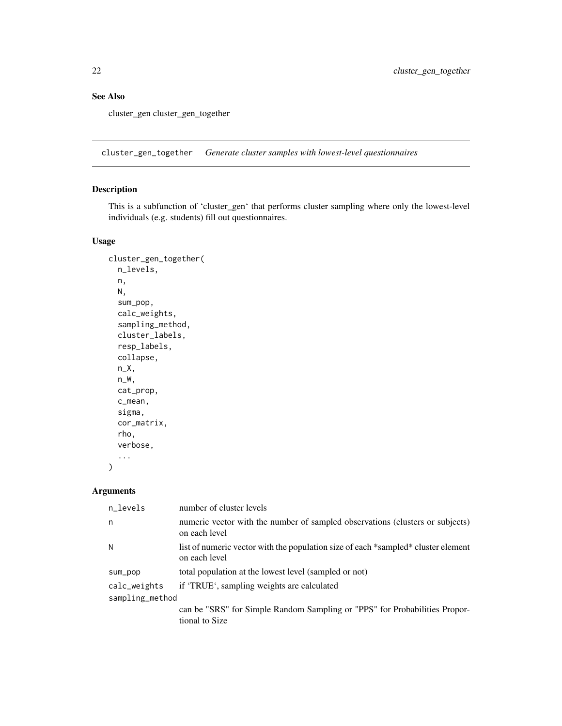# <span id="page-21-0"></span>See Also

cluster\_gen cluster\_gen\_together

cluster\_gen\_together *Generate cluster samples with lowest-level questionnaires*

# Description

This is a subfunction of 'cluster\_gen' that performs cluster sampling where only the lowest-level individuals (e.g. students) fill out questionnaires.

#### Usage

```
cluster_gen_together(
 n_levels,
 n,
 N,
  sum_pop,
  calc_weights,
  sampling_method,
  cluster_labels,
  resp_labels,
  collapse,
  n_X,
 n_W,
 cat_prop,
  c_mean,
  sigma,
  cor_matrix,
  rho,
  verbose,
  ...
)
```

| n_levels        | number of cluster levels                                                                           |  |
|-----------------|----------------------------------------------------------------------------------------------------|--|
| n               | numeric vector with the number of sampled observations (clusters or subjects)<br>on each level     |  |
| N               | list of numeric vector with the population size of each *sampled* cluster element<br>on each level |  |
| sum_pop         | total population at the lowest level (sampled or not)                                              |  |
| calc_weights    | if 'TRUE', sampling weights are calculated                                                         |  |
| sampling_method |                                                                                                    |  |
|                 | can be "SRS" for Simple Random Sampling or "PPS" for Probabilities Propor-<br>tional to Size       |  |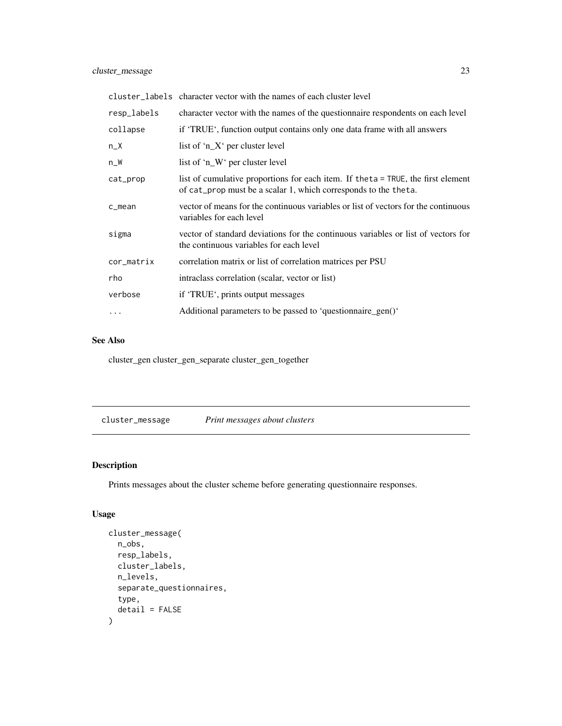<span id="page-22-0"></span>

|             | cluster_labels character vector with the names of each cluster level                                                                                |
|-------------|-----------------------------------------------------------------------------------------------------------------------------------------------------|
| resp_labels | character vector with the names of the questionnaire respondents on each level                                                                      |
| collapse    | if 'TRUE', function output contains only one data frame with all answers                                                                            |
| n_X         | list of 'n_X' per cluster level                                                                                                                     |
| n_W         | list of 'n_W' per cluster level                                                                                                                     |
| cat_prop    | list of cumulative proportions for each item. If theta = TRUE, the first element<br>of cat_prop must be a scalar 1, which corresponds to the theta. |
| c_mean      | vector of means for the continuous variables or list of vectors for the continuous<br>variables for each level                                      |
| sigma       | vector of standard deviations for the continuous variables or list of vectors for<br>the continuous variables for each level                        |
| cor_matrix  | correlation matrix or list of correlation matrices per PSU                                                                                          |
| rho         | intraclass correlation (scalar, vector or list)                                                                                                     |
| verbose     | if 'TRUE', prints output messages                                                                                                                   |
| $\cdots$    | Additional parameters to be passed to 'questionnaire_gen()'                                                                                         |

#### See Also

cluster\_gen cluster\_gen\_separate cluster\_gen\_together

cluster\_message *Print messages about clusters*

# Description

Prints messages about the cluster scheme before generating questionnaire responses.

# Usage

```
cluster_message(
 n_obs,
 resp_labels,
 cluster_labels,
 n_levels,
  separate_questionnaires,
  type,
  detail = FALSE)
```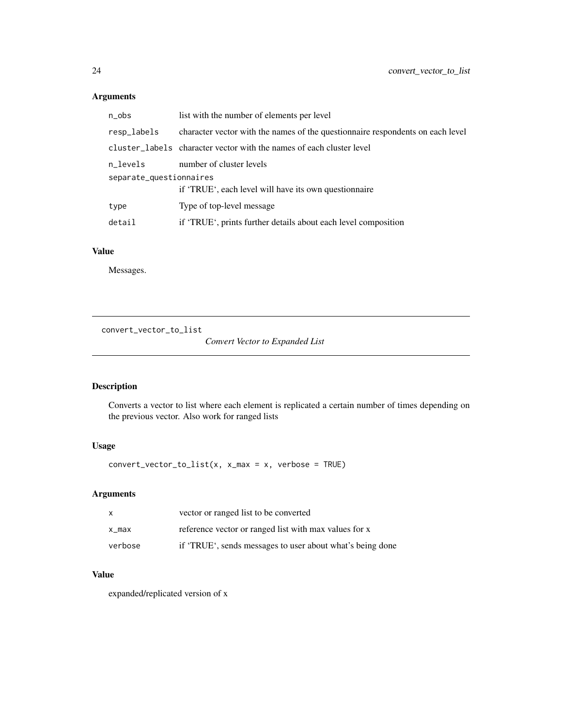# <span id="page-23-0"></span>Arguments

| $n_{obs}$                                                                        | list with the number of elements per level                                     |
|----------------------------------------------------------------------------------|--------------------------------------------------------------------------------|
| resp_labels                                                                      | character vector with the names of the questionnaire respondents on each level |
|                                                                                  | cluster_labels character vector with the names of each cluster level           |
| n_levels                                                                         | number of cluster levels                                                       |
| separate_questionnaires<br>if 'TRUE', each level will have its own questionnaire |                                                                                |
| type                                                                             | Type of top-level message                                                      |
| detail                                                                           | if 'TRUE', prints further details about each level composition                 |

#### Value

Messages.

convert\_vector\_to\_list

*Convert Vector to Expanded List*

# Description

Converts a vector to list where each element is replicated a certain number of times depending on the previous vector. Also work for ranged lists

# Usage

convert\_vector\_to\_list(x, x\_max = x, verbose = TRUE)

# Arguments

| x       | vector or ranged list to be converted                     |
|---------|-----------------------------------------------------------|
| x max   | reference vector or ranged list with max values for x     |
| verbose | if 'TRUE', sends messages to user about what's being done |

# Value

expanded/replicated version of x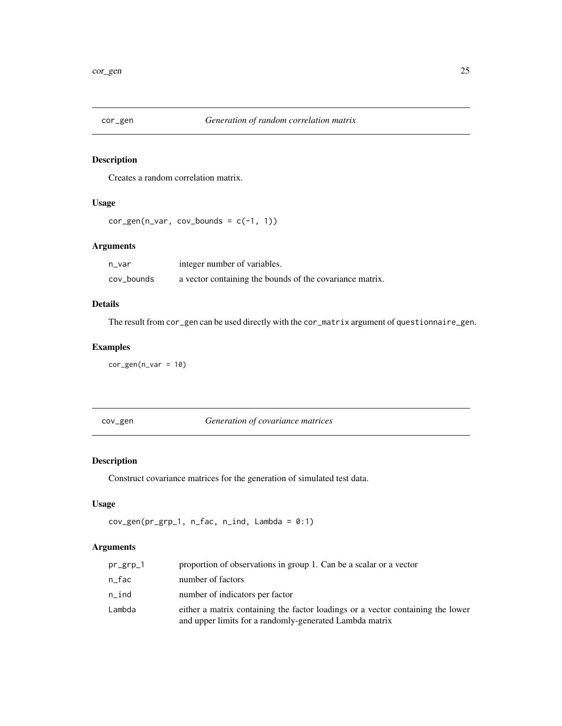<span id="page-24-0"></span>

Creates a random correlation matrix.

#### Usage

 $cor\_gen(n\_var, cov_bounds = c(-1, 1))$ 

#### Arguments

| n_var      | integer number of variables.                             |
|------------|----------------------------------------------------------|
| cov_bounds | a vector containing the bounds of the covariance matrix. |

# Details

The result from cor\_gen can be used directly with the cor\_matrix argument of questionnaire\_gen.

# Examples

 $cor\_gen(n\_var = 10)$ 

cov\_gen *Generation of covariance matrices*

#### Description

Construct covariance matrices for the generation of simulated test data.

# Usage

```
cov_gen(pr_grp_1, n_fac, n_ind, Lambda = 0:1)
```

| $pr\_grp_1$ | proportion of observations in group 1. Can be a scalar or a vector                                                                         |
|-------------|--------------------------------------------------------------------------------------------------------------------------------------------|
| n fac       | number of factors                                                                                                                          |
| n ind       | number of indicators per factor                                                                                                            |
| Lambda      | either a matrix containing the factor loadings or a vector containing the lower<br>and upper limits for a randomly-generated Lambda matrix |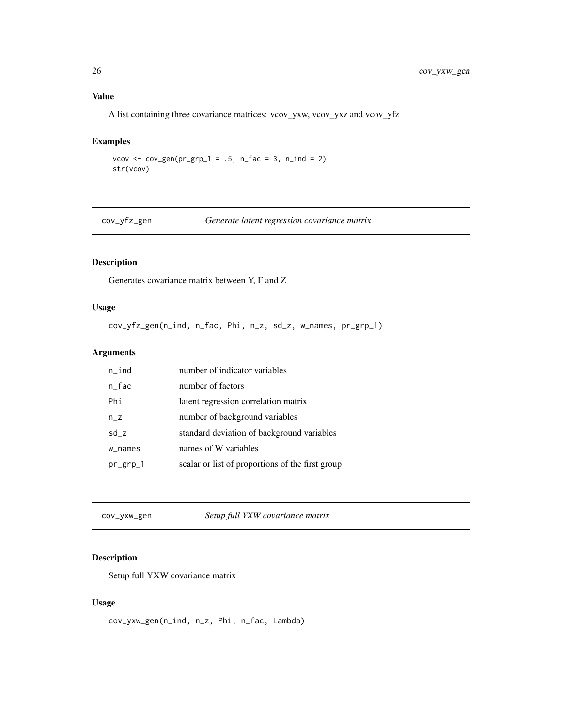#### <span id="page-25-0"></span>Value

A list containing three covariance matrices: vcov\_yxw, vcov\_yxz and vcov\_yfz

# Examples

vcov <- cov\_gen( $pr\_grp_1 = .5$ ,  $n_fac = 3$ ,  $n_fad = 2$ ) str(vcov)

cov\_yfz\_gen *Generate latent regression covariance matrix*

# Description

Generates covariance matrix between Y, F and Z

# Usage

cov\_yfz\_gen(n\_ind, n\_fac, Phi, n\_z, sd\_z, w\_names, pr\_grp\_1)

# Arguments

| $n$ _ind    | number of indicator variables                    |
|-------------|--------------------------------------------------|
| n_fac       | number of factors                                |
| Phi         | latent regression correlation matrix             |
| $n_Z$       | number of background variables                   |
| sd z        | standard deviation of background variables       |
| w_names     | names of W variables                             |
| $pr\_grp_1$ | scalar or list of proportions of the first group |

cov\_yxw\_gen *Setup full YXW covariance matrix*

# Description

Setup full YXW covariance matrix

#### Usage

cov\_yxw\_gen(n\_ind, n\_z, Phi, n\_fac, Lambda)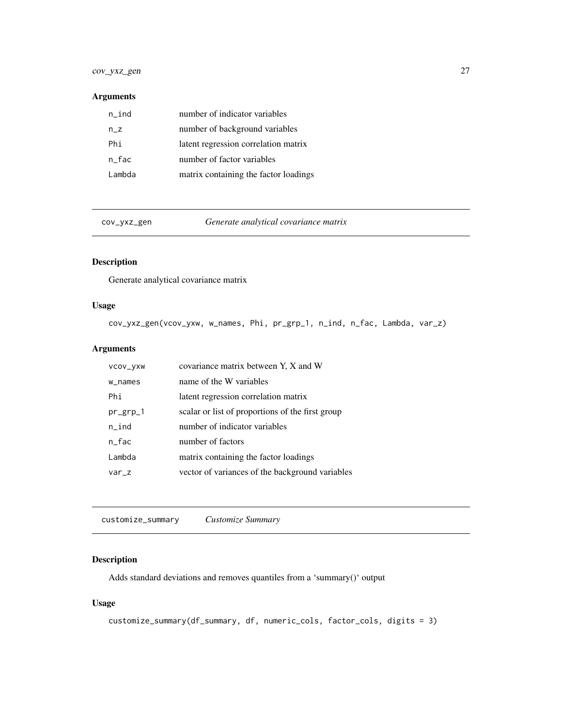# <span id="page-26-0"></span>cov\_yxz\_gen 27

#### Arguments

| n ind  | number of indicator variables         |
|--------|---------------------------------------|
| $n_Z$  | number of background variables        |
| Phi    | latent regression correlation matrix  |
| n_fac  | number of factor variables            |
| Lambda | matrix containing the factor loadings |

cov\_yxz\_gen *Generate analytical covariance matrix*

# Description

Generate analytical covariance matrix

# Usage

cov\_yxz\_gen(vcov\_yxw, w\_names, Phi, pr\_grp\_1, n\_ind, n\_fac, Lambda, var\_z)

# Arguments

| VCOV_YXW    | covariance matrix between Y, X and W             |
|-------------|--------------------------------------------------|
| w_names     | name of the W variables                          |
| Phi         | latent regression correlation matrix             |
| $pr\_grp_1$ | scalar or list of proportions of the first group |
| n ind       | number of indicator variables                    |
| n fac       | number of factors                                |
| Lambda      | matrix containing the factor loadings            |
| $var_z$     | vector of variances of the background variables  |
|             |                                                  |

customize\_summary *Customize Summary*

# Description

Adds standard deviations and removes quantiles from a 'summary()' output

# Usage

```
customize_summary(df_summary, df, numeric_cols, factor_cols, digits = 3)
```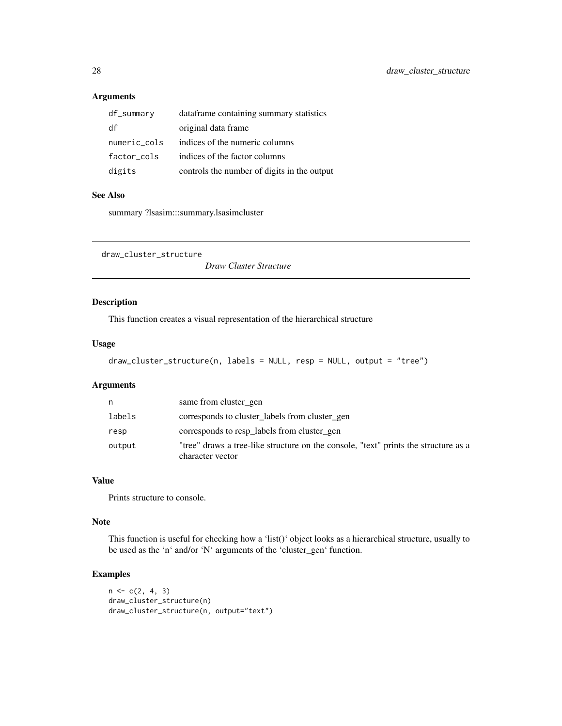# Arguments

| df_summary   | dataframe containing summary statistics     |
|--------------|---------------------------------------------|
| df           | original data frame                         |
| numeric_cols | indices of the numeric columns              |
| factor_cols  | indices of the factor columns               |
| digits       | controls the number of digits in the output |

#### See Also

summary ?lsasim:::summary.lsasimcluster

draw\_cluster\_structure

*Draw Cluster Structure*

# Description

This function creates a visual representation of the hierarchical structure

#### Usage

```
draw_cluster_structure(n, labels = NULL, resp = NULL, output = "tree")
```
#### Arguments

| n      | same from cluster gen                                                                                   |
|--------|---------------------------------------------------------------------------------------------------------|
| labels | corresponds to cluster labels from cluster gen                                                          |
| resp   | corresponds to resp_labels from cluster_gen                                                             |
| output | "tree" draws a tree-like structure on the console, "text" prints the structure as a<br>character vector |

# Value

Prints structure to console.

#### Note

This function is useful for checking how a 'list()' object looks as a hierarchical structure, usually to be used as the 'n' and/or 'N' arguments of the 'cluster\_gen' function.

# Examples

```
n \leq c(2, 4, 3)draw_cluster_structure(n)
draw_cluster_structure(n, output="text")
```
<span id="page-27-0"></span>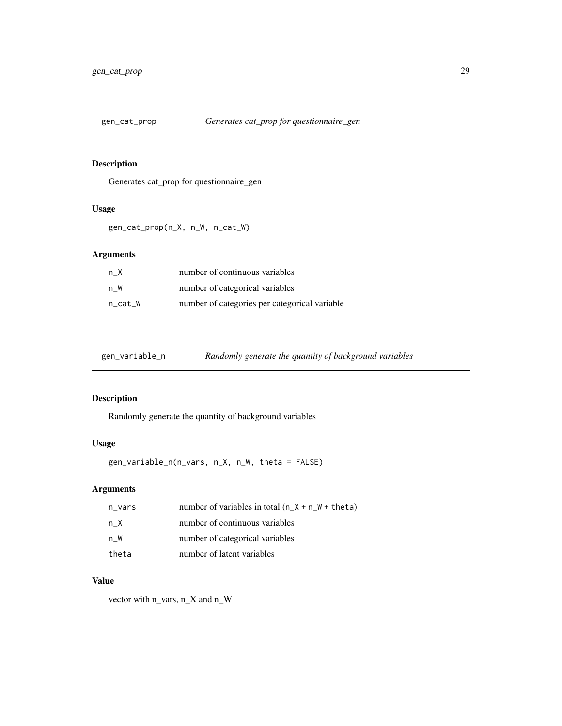<span id="page-28-0"></span>

Generates cat\_prop for questionnaire\_gen

# Usage

gen\_cat\_prop(n\_X, n\_W, n\_cat\_W)

# Arguments

| n X     | number of continuous variables                |
|---------|-----------------------------------------------|
| n W     | number of categorical variables               |
| n cat W | number of categories per categorical variable |

| gen_variable_n | Randomly generate the quantity of background variables |
|----------------|--------------------------------------------------------|
|----------------|--------------------------------------------------------|

# Description

Randomly generate the quantity of background variables

# Usage

gen\_variable\_n(n\_vars, n\_X, n\_W, theta = FALSE)

# Arguments

| n_vars | number of variables in total $(n_X + n_W + \theta)$ |
|--------|-----------------------------------------------------|
| n X    | number of continuous variables                      |
| n W    | number of categorical variables                     |
| theta  | number of latent variables                          |

# Value

vector with n\_vars, n\_X and n\_W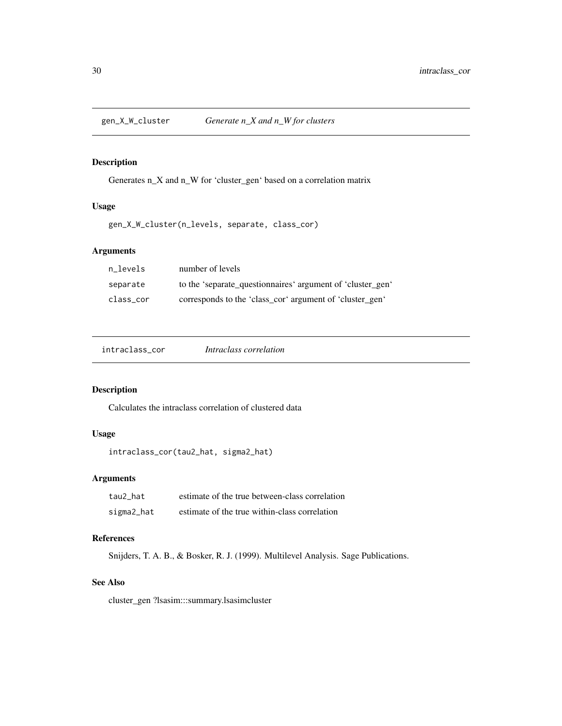<span id="page-29-0"></span>

Generates n\_X and n\_W for 'cluster\_gen' based on a correlation matrix

# Usage

gen\_X\_W\_cluster(n\_levels, separate, class\_cor)

#### Arguments

| n levels  | number of levels                                           |
|-----------|------------------------------------------------------------|
| separate  | to the 'separate_questionnaires' argument of 'cluster_gen' |
| class cor | corresponds to the 'class_cor' argument of 'cluster_gen'   |

| intraclass_cor | <i>Intraclass correlation</i> |
|----------------|-------------------------------|
|----------------|-------------------------------|

# Description

Calculates the intraclass correlation of clustered data

# Usage

intraclass\_cor(tau2\_hat, sigma2\_hat)

# Arguments

| tau2 hat   | estimate of the true between-class correlation |
|------------|------------------------------------------------|
| sigma2_hat | estimate of the true within-class correlation  |

#### References

Snijders, T. A. B., & Bosker, R. J. (1999). Multilevel Analysis. Sage Publications.

#### See Also

cluster\_gen ?lsasim:::summary.lsasimcluster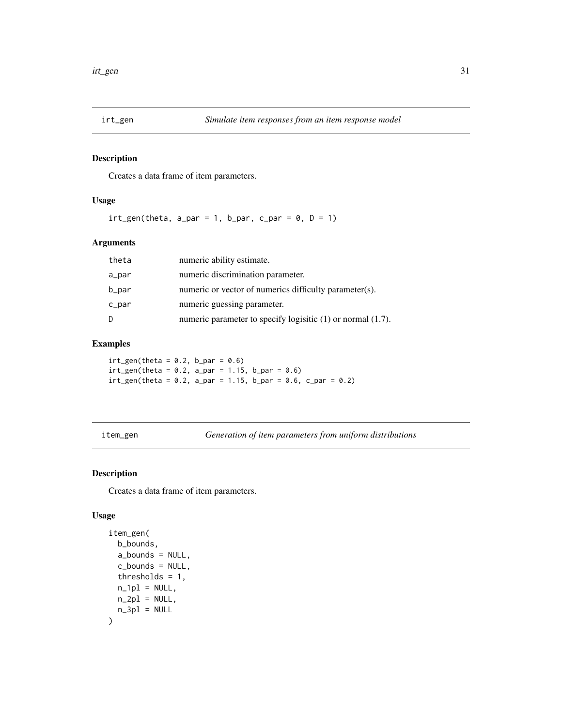<span id="page-30-0"></span>

Creates a data frame of item parameters.

# Usage

 $irt\_gen(theta, a\_par = 1, b\_par, c\_par = 0, D = 1)$ 

#### Arguments

| theta    | numeric ability estimate.                                        |
|----------|------------------------------------------------------------------|
| a_par    | numeric discrimination parameter.                                |
| b_par    | numeric or vector of numerics difficulty parameter(s).           |
| $c$ _par | numeric guessing parameter.                                      |
| D        | numeric parameter to specify logisitic $(1)$ or normal $(1.7)$ . |

#### Examples

 $irt\_gen$ (theta = 0.2, b\_par = 0.6)  $irt\_gen(theta = 0.2, a\_par = 1.15, b\_par = 0.6)$  $irt\_gen$ (theta = 0.2, a\_par = 1.15, b\_par = 0.6, c\_par = 0.2)

item\_gen *Generation of item parameters from uniform distributions*

# Description

Creates a data frame of item parameters.

#### Usage

```
item_gen(
 b_bounds,
  a_bounds = NULL,
 c_bounds = NULL,
 thresholds = 1,
 n_1p1 = NULL,n_2p1 = NULL,n_3p1 = NULL)
```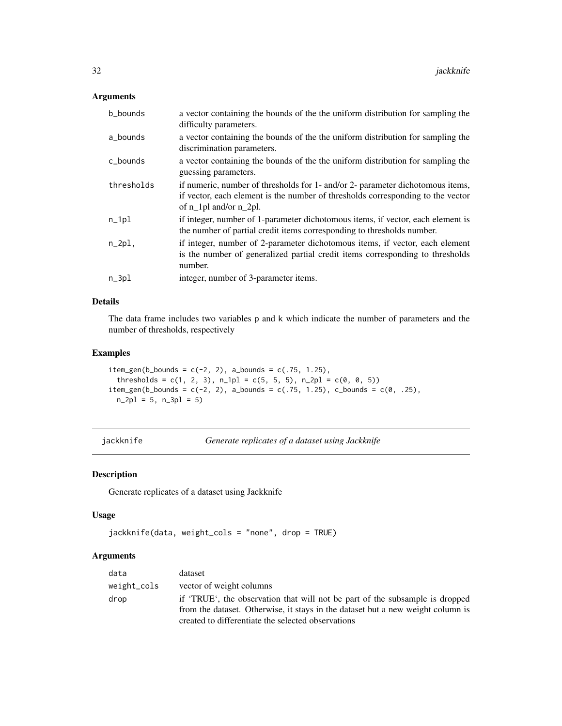# <span id="page-31-0"></span>Arguments

| b_bounds           | a vector containing the bounds of the the uniform distribution for sampling the<br>difficulty parameters.                                                                                          |
|--------------------|----------------------------------------------------------------------------------------------------------------------------------------------------------------------------------------------------|
| a_bounds           | a vector containing the bounds of the the uniform distribution for sampling the<br>discrimination parameters.                                                                                      |
| c_bounds           | a vector containing the bounds of the the uniform distribution for sampling the<br>guessing parameters.                                                                                            |
| thresholds         | if numeric, number of thresholds for 1- and/or 2- parameter dichotomous items,<br>if vector, each element is the number of thresholds corresponding to the vector<br>of $n_l$ pl and/or $n_l$ 2pl. |
| $n$ <sup>1pl</sup> | if integer, number of 1-parameter dichotomous items, if vector, each element is<br>the number of partial credit items corresponding to thresholds number.                                          |
| $n_2$ pl,          | if integer, number of 2-parameter dichotomous items, if vector, each element<br>is the number of generalized partial credit items corresponding to thresholds<br>number.                           |
| $n_3$ pl           | integer, number of 3-parameter items.                                                                                                                                                              |

#### Details

The data frame includes two variables p and k which indicate the number of parameters and the number of thresholds, respectively

#### Examples

```
item\_gen(b\_bounds = c(-2, 2), a\_bounds = c(.75, 1.25),thresholds = c(1, 2, 3), n_1pl = c(5, 5, 5), n_2pl = c(0, 0, 5))
item\_gen(b\_bounds = c(-2, 2), a\_bounds = c(.75, 1.25), c\_bounds = c(0, .25),n_2pl = 5, n_3pl = 5
```
jackknife *Generate replicates of a dataset using Jackknife*

# Description

Generate replicates of a dataset using Jackknife

#### Usage

```
jackknife(data, weight_cols = "none", drop = TRUE)
```

| data        | dataset                                                                         |
|-------------|---------------------------------------------------------------------------------|
| weight_cols | vector of weight columns                                                        |
| drop        | if 'TRUE', the observation that will not be part of the subsample is dropped    |
|             | from the dataset. Otherwise, it stays in the dataset but a new weight column is |
|             | created to differentiate the selected observations                              |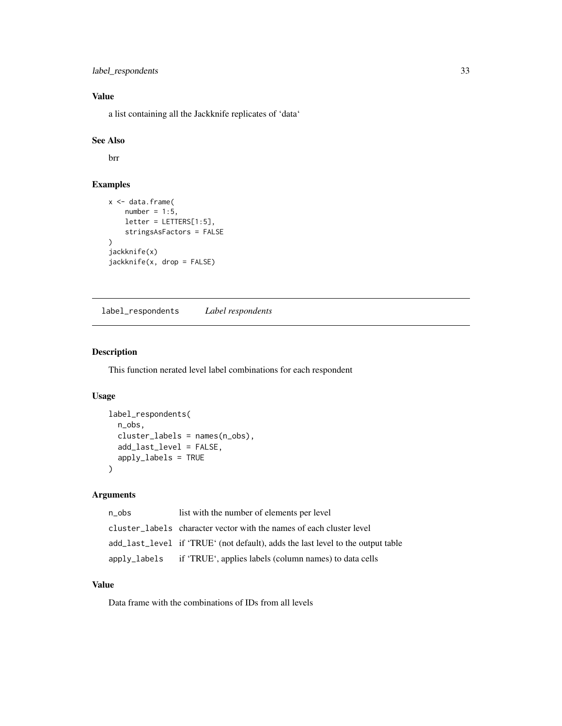```
label_respondents 33
```
# Value

a list containing all the Jackknife replicates of 'data'

# See Also

brr

#### Examples

```
x <- data.frame(
   number = 1:5,
   letter = LETTERS[1:5],
   stringsAsFactors = FALSE
)
jackknife(x)
jackknife(x, drop = FALSE)
```
label\_respondents *Label respondents*

# Description

This function nerated level label combinations for each respondent

#### Usage

```
label_respondents(
  n_obs,
  cluster_labels = names(n_obs),
  add_last_level = FALSE,
  apply_labels = TRUE
\mathcal{E}
```
# Arguments

```
n_obs list with the number of elements per level
cluster_labels character vector with the names of each cluster level
add_last_level if 'TRUE' (not default), adds the last level to the output table
apply_labels if 'TRUE', applies labels (column names) to data cells
```
# Value

Data frame with the combinations of IDs from all levels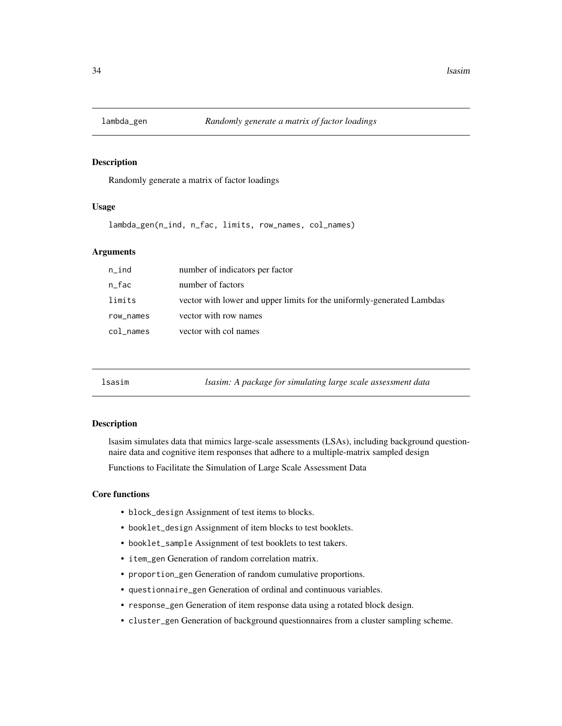<span id="page-33-0"></span>

Randomly generate a matrix of factor loadings

#### Usage

lambda\_gen(n\_ind, n\_fac, limits, row\_names, col\_names)

#### Arguments

| $n\_ind$        | number of indicators per factor                                        |
|-----------------|------------------------------------------------------------------------|
| $n_{-}$ fac     | number of factors                                                      |
| limits          | vector with lower and upper limits for the uniformly-generated Lambdas |
| row_names       | vector with row names                                                  |
| $col$ $\_names$ | vector with col names                                                  |

lsasim *lsasim: A package for simulating large scale assessment data*

#### **Description**

lsasim simulates data that mimics large-scale assessments (LSAs), including background questionnaire data and cognitive item responses that adhere to a multiple-matrix sampled design

Functions to Facilitate the Simulation of Large Scale Assessment Data

#### Core functions

- block\_design Assignment of test items to blocks.
- booklet\_design Assignment of item blocks to test booklets.
- booklet\_sample Assignment of test booklets to test takers.
- item\_gen Generation of random correlation matrix.
- proportion\_gen Generation of random cumulative proportions.
- questionnaire\_gen Generation of ordinal and continuous variables.
- response\_gen Generation of item response data using a rotated block design.
- cluster\_gen Generation of background questionnaires from a cluster sampling scheme.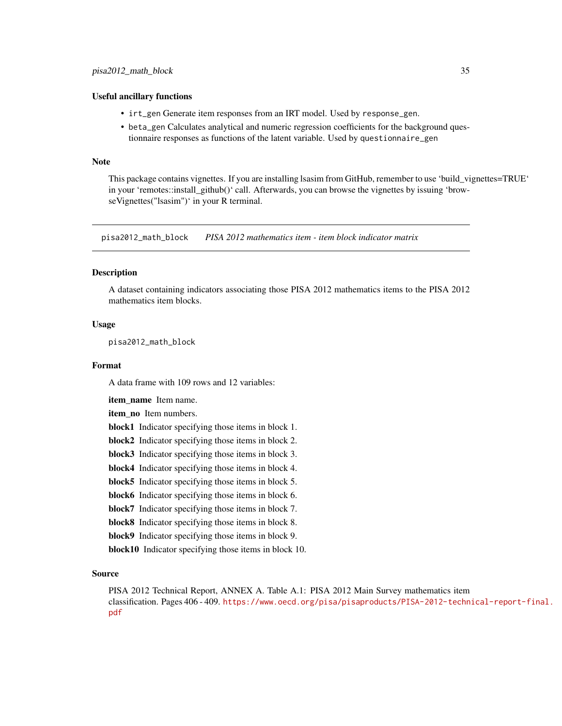#### <span id="page-34-0"></span>Useful ancillary functions

- irt\_gen Generate item responses from an IRT model. Used by response\_gen.
- beta\_gen Calculates analytical and numeric regression coefficients for the background questionnaire responses as functions of the latent variable. Used by questionnaire\_gen

#### Note

This package contains vignettes. If you are installing lsasim from GitHub, remember to use 'build\_vignettes=TRUE' in your 'remotes::install\_github()' call. Afterwards, you can browse the vignettes by issuing 'browseVignettes("lsasim")' in your R terminal.

pisa2012\_math\_block *PISA 2012 mathematics item - item block indicator matrix*

#### Description

A dataset containing indicators associating those PISA 2012 mathematics items to the PISA 2012 mathematics item blocks.

#### Usage

pisa2012\_math\_block

#### Format

A data frame with 109 rows and 12 variables:

item name Item name.

item no Item numbers.

block1 Indicator specifying those items in block 1.

block2 Indicator specifying those items in block 2.

block3 Indicator specifying those items in block 3.

block4 Indicator specifying those items in block 4.

block5 Indicator specifying those items in block 5.

block6 Indicator specifying those items in block 6.

block7 Indicator specifying those items in block 7.

block8 Indicator specifying those items in block 8.

block9 Indicator specifying those items in block 9.

block10 Indicator specifying those items in block 10.

#### Source

PISA 2012 Technical Report, ANNEX A. Table A.1: PISA 2012 Main Survey mathematics item

classification. Pages 406 - 409. [https://www.oecd.org/pisa/pisaproducts/PISA-2012-techn](https://www.oecd.org/pisa/pisaproducts/PISA-2012-technical-report-final.pdf)ical-report-final. [pdf](https://www.oecd.org/pisa/pisaproducts/PISA-2012-technical-report-final.pdf)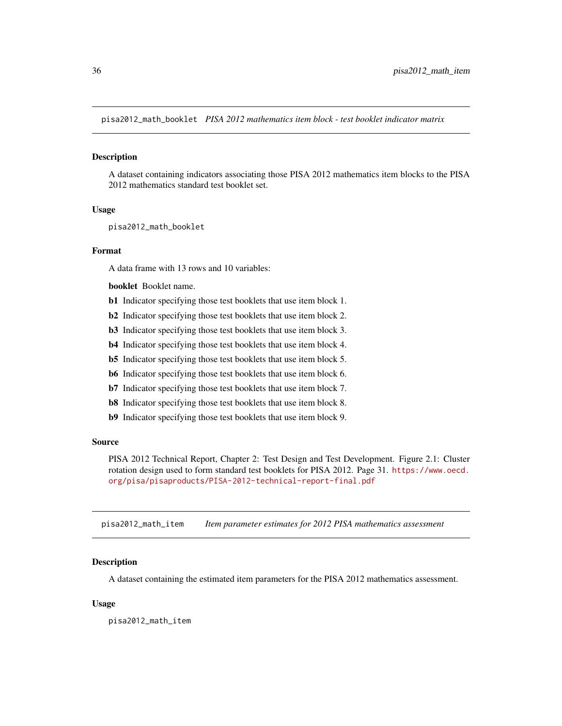<span id="page-35-0"></span>pisa2012\_math\_booklet *PISA 2012 mathematics item block - test booklet indicator matrix*

#### **Description**

A dataset containing indicators associating those PISA 2012 mathematics item blocks to the PISA 2012 mathematics standard test booklet set.

#### Usage

pisa2012\_math\_booklet

#### Format

A data frame with 13 rows and 10 variables:

booklet Booklet name.

- b1 Indicator specifying those test booklets that use item block 1.
- b2 Indicator specifying those test booklets that use item block 2.
- b3 Indicator specifying those test booklets that use item block 3.
- b4 Indicator specifying those test booklets that use item block 4.
- b5 Indicator specifying those test booklets that use item block 5.
- b6 Indicator specifying those test booklets that use item block 6.
- b7 Indicator specifying those test booklets that use item block 7.
- b8 Indicator specifying those test booklets that use item block 8.
- b9 Indicator specifying those test booklets that use item block 9.

#### Source

PISA 2012 Technical Report, Chapter 2: Test Design and Test Development. Figure 2.1: Cluster rotation design used to form standard test booklets for PISA 2012. Page 31. [https://www.oecd.](https://www.oecd.org/pisa/pisaproducts/PISA-2012-technical-report-final.pdf) [org/pisa/pisaproducts/PISA-2012-technical-report-final.pdf](https://www.oecd.org/pisa/pisaproducts/PISA-2012-technical-report-final.pdf)

pisa2012\_math\_item *Item parameter estimates for 2012 PISA mathematics assessment*

#### **Description**

A dataset containing the estimated item parameters for the PISA 2012 mathematics assessment.

#### Usage

pisa2012\_math\_item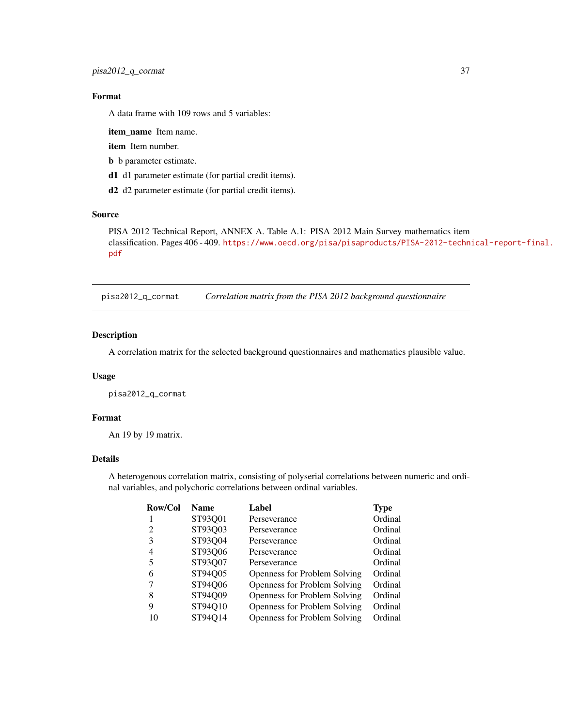# <span id="page-36-0"></span>Format

A data frame with 109 rows and 5 variables:

item\_name Item name.

item Item number.

b b parameter estimate.

d1 d1 parameter estimate (for partial credit items).

d2 d2 parameter estimate (for partial credit items).

#### Source

PISA 2012 Technical Report, ANNEX A. Table A.1: PISA 2012 Main Survey mathematics item classification. Pages 406 - 409. [https://www.oecd.org/pisa/pisaproducts/PISA-2012-techn](https://www.oecd.org/pisa/pisaproducts/PISA-2012-technical-report-final.pdf)ical-report-final. [pdf](https://www.oecd.org/pisa/pisaproducts/PISA-2012-technical-report-final.pdf)

pisa2012\_q\_cormat *Correlation matrix from the PISA 2012 background questionnaire*

#### Description

A correlation matrix for the selected background questionnaires and mathematics plausible value.

#### Usage

pisa2012\_q\_cormat

#### Format

An 19 by 19 matrix.

#### Details

A heterogenous correlation matrix, consisting of polyserial correlations between numeric and ordinal variables, and polychoric correlations between ordinal variables.

| Row/Col | <b>Name</b> | Label                               | <b>Type</b> |
|---------|-------------|-------------------------------------|-------------|
|         | ST93Q01     | Perseverance                        | Ordinal     |
| 2       | ST93Q03     | Perseverance                        | Ordinal     |
| 3       | ST93Q04     | Perseverance                        | Ordinal     |
| 4       | ST93Q06     | Perseverance                        | Ordinal     |
| 5       | ST93Q07     | Perseverance                        | Ordinal     |
| 6       | ST94Q05     | <b>Openness for Problem Solving</b> | Ordinal     |
|         | ST94Q06     | Openness for Problem Solving        | Ordinal     |
| 8       | ST94Q09     | <b>Openness for Problem Solving</b> | Ordinal     |
| 9       | ST94Q10     | <b>Openness for Problem Solving</b> | Ordinal     |
| 10      | ST94Q14     | <b>Openness for Problem Solving</b> | Ordinal     |
|         |             |                                     |             |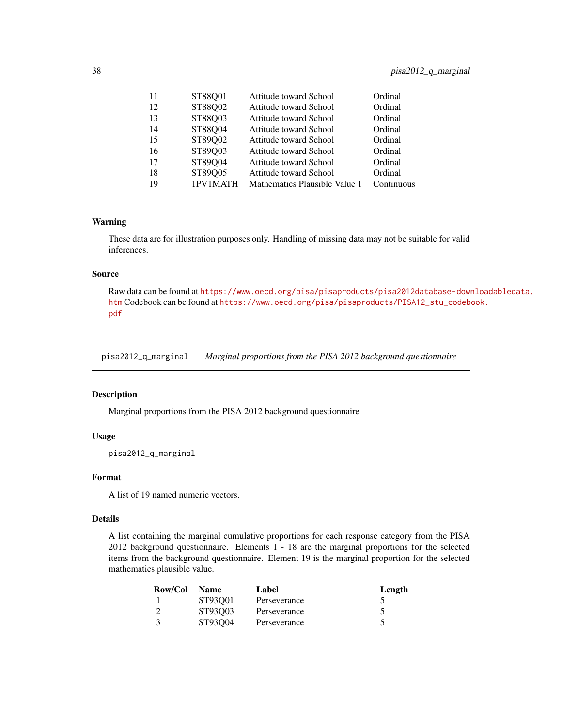<span id="page-37-0"></span>

| 11 | ST88Q01  | Attitude toward School        | Ordinal    |
|----|----------|-------------------------------|------------|
| 12 | ST88Q02  | Attitude toward School        | Ordinal    |
| 13 | ST88Q03  | Attitude toward School        | Ordinal    |
| 14 | ST88Q04  | Attitude toward School        | Ordinal    |
| 15 | ST89Q02  | Attitude toward School        | Ordinal    |
| 16 | ST89Q03  | Attitude toward School        | Ordinal    |
| 17 | ST89Q04  | Attitude toward School        | Ordinal    |
| 18 | ST89Q05  | Attitude toward School        | Ordinal    |
| 19 | 1PV1MATH | Mathematics Plausible Value 1 | Continuous |

#### Warning

These data are for illustration purposes only. Handling of missing data may not be suitable for valid inferences.

#### Source

Raw data can be found at [https://www.oecd.org/pisa/pisaproducts/pisa2012database-down](https://www.oecd.org/pisa/pisaproducts/pisa2012database-downloadabledata.htm)loadabledata. [htm](https://www.oecd.org/pisa/pisaproducts/pisa2012database-downloadabledata.htm) Codebook can be found at [https://www.oecd.org/pisa/pisaproducts/PISA12\\_stu\\_codeb](https://www.oecd.org/pisa/pisaproducts/PISA12_stu_codebook.pdf)ook. [pdf](https://www.oecd.org/pisa/pisaproducts/PISA12_stu_codebook.pdf)

pisa2012\_q\_marginal *Marginal proportions from the PISA 2012 background questionnaire*

#### Description

Marginal proportions from the PISA 2012 background questionnaire

#### Usage

pisa2012\_q\_marginal

#### Format

A list of 19 named numeric vectors.

#### Details

A list containing the marginal cumulative proportions for each response category from the PISA 2012 background questionnaire. Elements 1 - 18 are the marginal proportions for the selected items from the background questionnaire. Element 19 is the marginal proportion for the selected mathematics plausible value.

| Row/Col | <b>Name</b> | Label        | Length |
|---------|-------------|--------------|--------|
|         | ST93001     | Perseverance |        |
|         | ST93003     | Perseverance |        |
|         | ST93004     | Perseverance |        |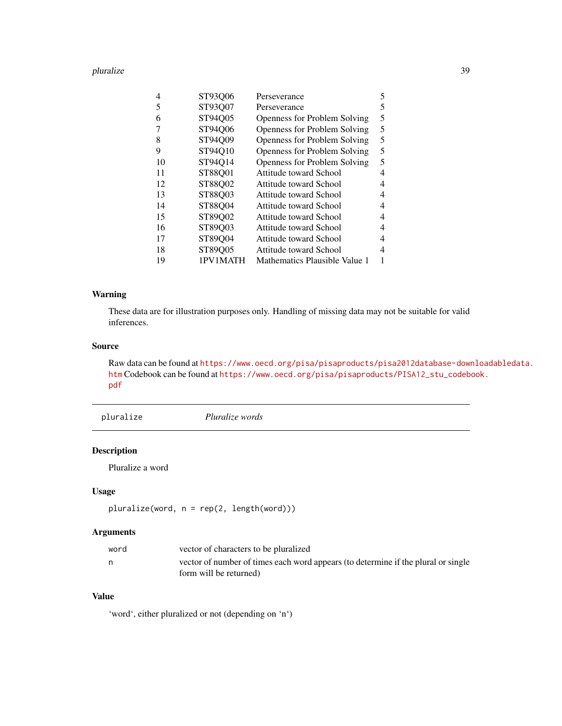#### <span id="page-38-0"></span>pluralize 39

| 4  | ST93Q06  | Perseverance                        | 5.             |
|----|----------|-------------------------------------|----------------|
| 5  | ST93Q07  | Perseverance                        | 5              |
| 6  | ST94Q05  | <b>Openness for Problem Solving</b> | 5              |
| 7  | ST94Q06  | <b>Openness for Problem Solving</b> | 5              |
| 8  | ST94Q09  | <b>Openness for Problem Solving</b> | 5              |
| 9  | ST94Q10  | <b>Openness for Problem Solving</b> | 5              |
| 10 | ST94Q14  | Openness for Problem Solving        | 5              |
| 11 | ST88Q01  | Attitude toward School              | 4              |
| 12 | ST88Q02  | Attitude toward School              | 4              |
| 13 | ST88Q03  | Attitude toward School              | 4              |
| 14 | ST88Q04  | Attitude toward School              | 4              |
| 15 | ST89Q02  | Attitude toward School              | $\overline{4}$ |
| 16 | ST89Q03  | Attitude toward School              | 4              |
| 17 | ST89Q04  | Attitude toward School              | 4              |
| 18 | ST89Q05  | Attitude toward School              | 4              |
| 19 | 1PV1MATH | Mathematics Plausible Value 1       |                |

#### Warning

These data are for illustration purposes only. Handling of missing data may not be suitable for valid inferences.

#### Source

Raw data can be found at [https://www.oecd.org/pisa/pisaproducts/pisa2012database-down](https://www.oecd.org/pisa/pisaproducts/pisa2012database-downloadabledata.htm)loadabledata. [htm](https://www.oecd.org/pisa/pisaproducts/pisa2012database-downloadabledata.htm) Codebook can be found at [https://www.oecd.org/pisa/pisaproducts/PISA12\\_stu\\_codeb](https://www.oecd.org/pisa/pisaproducts/PISA12_stu_codebook.pdf)ook. [pdf](https://www.oecd.org/pisa/pisaproducts/PISA12_stu_codebook.pdf)

| pluralize | Pluralize words |  |  |
|-----------|-----------------|--|--|
|-----------|-----------------|--|--|

#### Description

Pluralize a word

#### Usage

```
pluralize(word, n = rep(2, length(word)))
```
#### Arguments

| word | vector of characters to be pluralized                                             |
|------|-----------------------------------------------------------------------------------|
| n    | vector of number of times each word appears (to determine if the plural or single |
|      | form will be returned)                                                            |

# Value

'word', either pluralized or not (depending on 'n')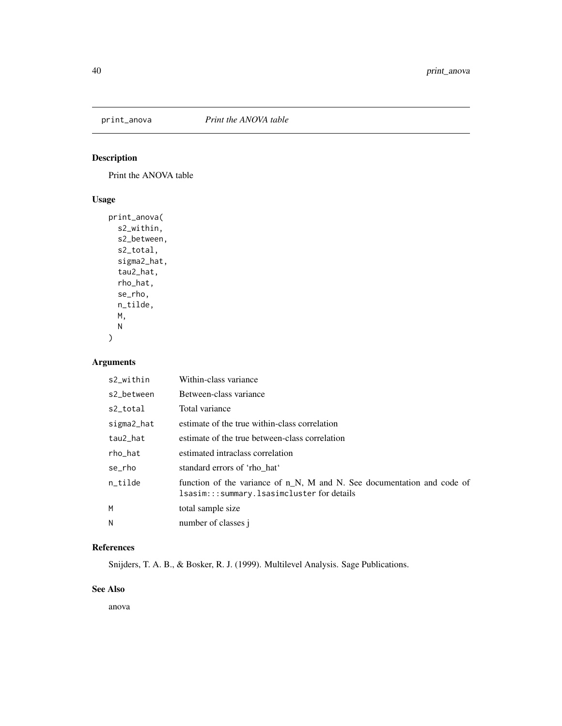<span id="page-39-0"></span>

Print the ANOVA table

# Usage

```
print_anova(
  s2_within,
  s2_between,
  s2_total,
  sigma2_hat,
  tau2_hat,
  rho_hat,
 se_rho,
 n_tilde,
 M,
 N
)
```
# Arguments

| s2_within  | Within-class variance                                                                                                             |
|------------|-----------------------------------------------------------------------------------------------------------------------------------|
| s2_between | Between-class variance                                                                                                            |
| s2 total   | Total variance                                                                                                                    |
| sigma2_hat | estimate of the true within-class correlation                                                                                     |
| tau2_hat   | estimate of the true between-class correlation                                                                                    |
| rho_hat    | estimated intraclass correlation                                                                                                  |
| se_rho     | standard errors of 'rho hat'                                                                                                      |
| n_tilde    | function of the variance of n <sub>N</sub> , M and N. See documentation and code of<br>lsasim:::summary.lsasimcluster for details |
| M          | total sample size                                                                                                                 |
| N          | number of classes j                                                                                                               |

# References

Snijders, T. A. B., & Bosker, R. J. (1999). Multilevel Analysis. Sage Publications.

# See Also

anova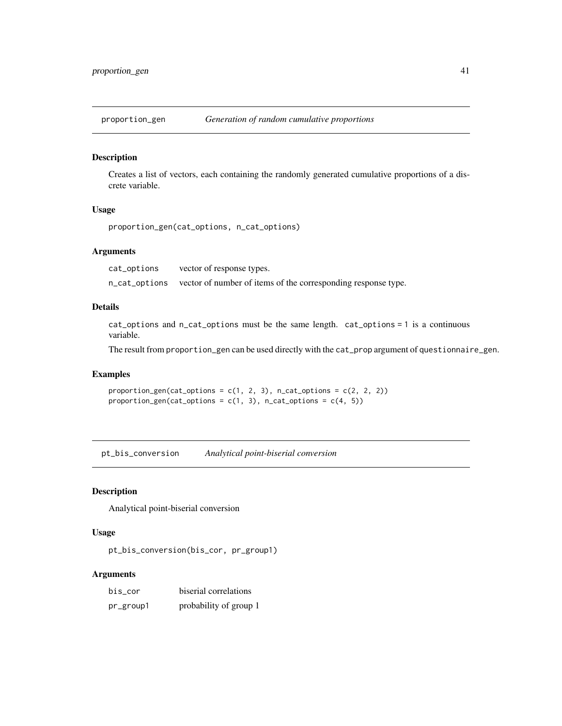<span id="page-40-0"></span>proportion\_gen *Generation of random cumulative proportions*

#### Description

Creates a list of vectors, each containing the randomly generated cumulative proportions of a discrete variable.

#### Usage

```
proportion_gen(cat_options, n_cat_options)
```
# Arguments

cat\_options vector of response types. n\_cat\_options vector of number of items of the corresponding response type.

# Details

cat\_options and n\_cat\_options must be the same length. cat\_options = 1 is a continuous variable.

The result from proportion\_gen can be used directly with the cat\_prop argument of questionnaire\_gen.

#### Examples

```
proportion\_gen(cat\_options = c(1, 2, 3), n\_cat\_options = c(2, 2, 2))proportion_gen(cat_options = c(1, 3), n_cat_options = c(4, 5))
```
pt\_bis\_conversion *Analytical point-biserial conversion*

#### Description

Analytical point-biserial conversion

#### Usage

pt\_bis\_conversion(bis\_cor, pr\_group1)

| bis cor   | biserial correlations  |
|-----------|------------------------|
| pr_group1 | probability of group 1 |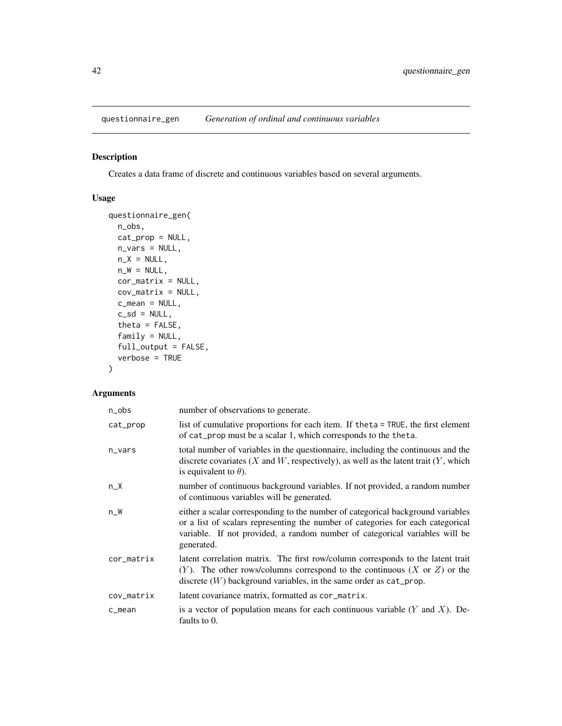<span id="page-41-0"></span>

Creates a data frame of discrete and continuous variables based on several arguments.

# Usage

```
questionnaire_gen(
 n_obs,
 cat_prop = NULL,
 n_vars = NULL,
 n_X = NULL,
 n_W = NULL,cor_matrix = NULL,
 cov_matrix = NULL,
 c_mean = NULL,
 c_s = NULL,theta = FALSE,
 family = NULL,full_output = FALSE,
  verbose = TRUE
)
```

| $n_{obs}$  | number of observations to generate.                                                                                                                                                                                                                             |
|------------|-----------------------------------------------------------------------------------------------------------------------------------------------------------------------------------------------------------------------------------------------------------------|
| cat_prop   | list of cumulative proportions for each item. If the ta = TRUE, the first element<br>of cat_prop must be a scalar 1, which corresponds to the theta.                                                                                                            |
| n_vars     | total number of variables in the questionnaire, including the continuous and the<br>discrete covariates $(X$ and $W$ , respectively), as well as the latent trait $(Y,$ which<br>is equivalent to $\theta$ ).                                                   |
| $n_X$      | number of continuous background variables. If not provided, a random number<br>of continuous variables will be generated.                                                                                                                                       |
| $n_W$      | either a scalar corresponding to the number of categorical background variables<br>or a list of scalars representing the number of categories for each categorical<br>variable. If not provided, a random number of categorical variables will be<br>generated. |
| cor_matrix | latent correlation matrix. The first row/column corresponds to the latent trait<br>$(Y)$ . The other rows/columns correspond to the continuous $(X \text{ or } Z)$ or the<br>discrete $(W)$ background variables, in the same order as cat_prop.                |
| cov_matrix | latent covariance matrix, formatted as cor_matrix.                                                                                                                                                                                                              |
| c_mean     | is a vector of population means for each continuous variable $(Y \text{ and } X)$ . De-<br>faults to 0.                                                                                                                                                         |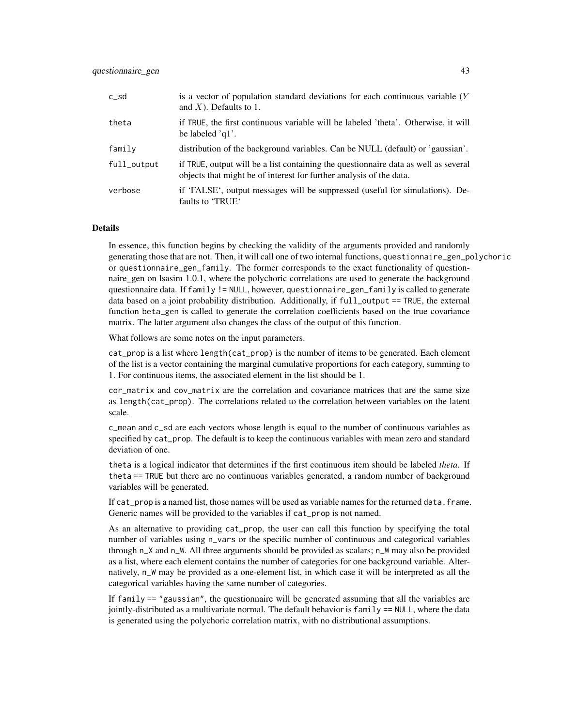| $c$ _sd     | is a vector of population standard deviations for each continuous variable $(Y$<br>and $X$ ). Defaults to 1.                                               |
|-------------|------------------------------------------------------------------------------------------------------------------------------------------------------------|
| theta       | if TRUE, the first continuous variable will be labeled 'theta'. Otherwise, it will<br>be labeled 'q1'.                                                     |
| family      | distribution of the background variables. Can be NULL (default) or 'gaussian'.                                                                             |
| full_output | if TRUE, output will be a list containing the questionnaire data as well as several<br>objects that might be of interest for further analysis of the data. |
| verbose     | if 'FALSE', output messages will be suppressed (useful for simulations). De-<br>faults to 'TRUE'                                                           |

#### Details

In essence, this function begins by checking the validity of the arguments provided and randomly generating those that are not. Then, it will call one of two internal functions, questionnaire\_gen\_polychoric or questionnaire\_gen\_family. The former corresponds to the exact functionality of questionnaire\_gen on lsasim 1.0.1, where the polychoric correlations are used to generate the background questionnaire data. If family != NULL, however, questionnaire\_gen\_family is called to generate data based on a joint probability distribution. Additionally, if full\_output == TRUE, the external function beta\_gen is called to generate the correlation coefficients based on the true covariance matrix. The latter argument also changes the class of the output of this function.

What follows are some notes on the input parameters.

cat\_prop is a list where length(cat\_prop) is the number of items to be generated. Each element of the list is a vector containing the marginal cumulative proportions for each category, summing to 1. For continuous items, the associated element in the list should be 1.

cor\_matrix and cov\_matrix are the correlation and covariance matrices that are the same size as length(cat\_prop). The correlations related to the correlation between variables on the latent scale.

c\_mean and c\_sd are each vectors whose length is equal to the number of continuous variables as specified by cat\_prop. The default is to keep the continuous variables with mean zero and standard deviation of one.

theta is a logical indicator that determines if the first continuous item should be labeled *theta*. If theta == TRUE but there are no continuous variables generated, a random number of background variables will be generated.

If cat\_prop is a named list, those names will be used as variable names for the returned data. frame. Generic names will be provided to the variables if cat\_prop is not named.

As an alternative to providing cat\_prop, the user can call this function by specifying the total number of variables using n\_vars or the specific number of continuous and categorical variables through n\_X and n\_W. All three arguments should be provided as scalars; n\_W may also be provided as a list, where each element contains the number of categories for one background variable. Alternatively, n\_W may be provided as a one-element list, in which case it will be interpreted as all the categorical variables having the same number of categories.

If family == "gaussian", the questionnaire will be generated assuming that all the variables are jointly-distributed as a multivariate normal. The default behavior is  $f_{\text{amily}} = NULL$ , where the data is generated using the polychoric correlation matrix, with no distributional assumptions.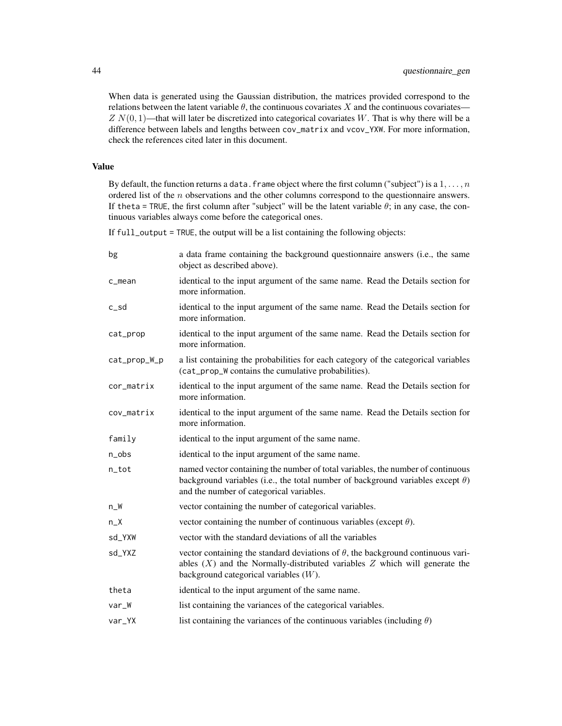When data is generated using the Gaussian distribution, the matrices provided correspond to the relations between the latent variable  $\theta$ , the continuous covariates X and the continuous covariates—  $ZN(0, 1)$ —that will later be discretized into categorical covariates W. That is why there will be a difference between labels and lengths between cov\_matrix and vcov\_YXW. For more information, check the references cited later in this document.

#### Value

By default, the function returns a data. frame object where the first column ("subject") is a  $1, \ldots, n$ ordered list of the  $n$  observations and the other columns correspond to the questionnaire answers. If theta = TRUE, the first column after "subject" will be the latent variable  $\theta$ ; in any case, the continuous variables always come before the categorical ones.

If full\_output = TRUE, the output will be a list containing the following objects:

| bg           | a data frame containing the background questionnaire answers (i.e., the same<br>object as described above).                                                                                                           |
|--------------|-----------------------------------------------------------------------------------------------------------------------------------------------------------------------------------------------------------------------|
| c_mean       | identical to the input argument of the same name. Read the Details section for<br>more information.                                                                                                                   |
| $c$ _sd      | identical to the input argument of the same name. Read the Details section for<br>more information.                                                                                                                   |
| cat_prop     | identical to the input argument of the same name. Read the Details section for<br>more information.                                                                                                                   |
| cat_prop_W_p | a list containing the probabilities for each category of the categorical variables<br>(cat_prop_W contains the cumulative probabilities).                                                                             |
| cor_matrix   | identical to the input argument of the same name. Read the Details section for<br>more information.                                                                                                                   |
| cov_matrix   | identical to the input argument of the same name. Read the Details section for<br>more information.                                                                                                                   |
| family       | identical to the input argument of the same name.                                                                                                                                                                     |
| $n_{obs}$    | identical to the input argument of the same name.                                                                                                                                                                     |
| n_tot        | named vector containing the number of total variables, the number of continuous<br>background variables (i.e., the total number of background variables except $\theta$ )<br>and the number of categorical variables. |
| $n_W$        | vector containing the number of categorical variables.                                                                                                                                                                |
| $n_X$        | vector containing the number of continuous variables (except $\theta$ ).                                                                                                                                              |
| sd_YXW       | vector with the standard deviations of all the variables                                                                                                                                                              |
| sd_YXZ       | vector containing the standard deviations of $\theta$ , the background continuous vari-<br>ables $(X)$ and the Normally-distributed variables $Z$ which will generate the<br>background categorical variables $(W)$ . |
| theta        | identical to the input argument of the same name.                                                                                                                                                                     |
| $var_W$      | list containing the variances of the categorical variables.                                                                                                                                                           |
| var_YX       | list containing the variances of the continuous variables (including $\theta$ )                                                                                                                                       |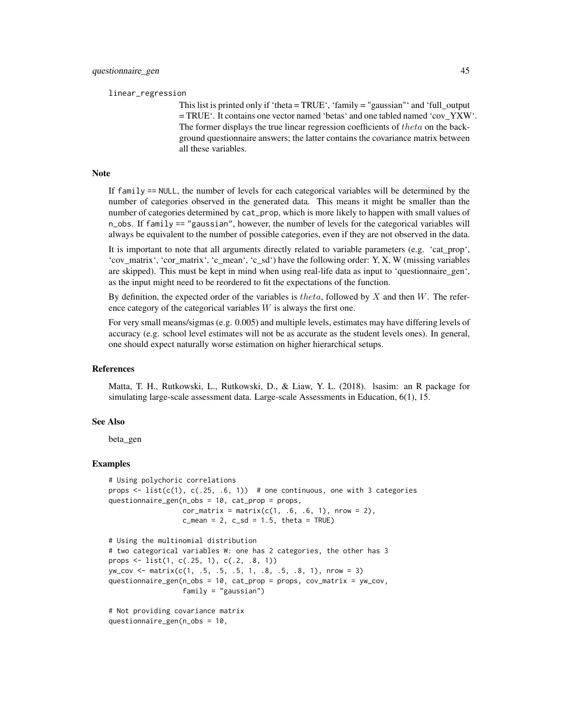linear\_regression

This list is printed only if 'theta = TRUE', 'family = "gaussian"' and 'full\_output = TRUE'. It contains one vector named 'betas' and one tabled named 'cov\_YXW'. The former displays the true linear regression coefficients of theta on the background questionnaire answers; the latter contains the covariance matrix between all these variables.

#### Note

If  $f$ amily  $=$  NULL, the number of levels for each categorical variables will be determined by the number of categories observed in the generated data. This means it might be smaller than the number of categories determined by cat\_prop, which is more likely to happen with small values of n\_obs. If family == "gaussian", however, the number of levels for the categorical variables will always be equivalent to the number of possible categories, even if they are not observed in the data.

It is important to note that all arguments directly related to variable parameters (e.g. 'cat\_prop', 'cov\_matrix', 'cor\_matrix', 'c\_mean', 'c\_sd') have the following order: Y, X, W (missing variables are skipped). This must be kept in mind when using real-life data as input to 'questionnaire\_gen', as the input might need to be reordered to fit the expectations of the function.

By definition, the expected order of the variables is theta, followed by  $X$  and then  $W$ . The reference category of the categorical variables  $W$  is always the first one.

For very small means/sigmas (e.g. 0.005) and multiple levels, estimates may have differing levels of accuracy (e.g. school level estimates will not be as accurate as the student levels ones). In general, one should expect naturally worse estimation on higher hierarchical setups.

#### References

Matta, T. H., Rutkowski, L., Rutkowski, D., & Liaw, Y. L. (2018). lsasim: an R package for simulating large-scale assessment data. Large-scale Assessments in Education, 6(1), 15.

#### See Also

beta\_gen

#### Examples

```
# Using polychoric correlations
props \le list(c(1), c(.25, .6, 1)) # one continuous, one with 3 categories
questionnaire_gen(n_obs = 10, cat_prop = props,
                 cor_matrix = matrix(c(1, .6, .6, 1), nrow = 2),c_mean = 2, c_sd = 1.5, theta = TRUE)
```

```
# Using the multinomial distribution
# two categorical variables W: one has 2 categories, the other has 3
props <- list(1, c(.25, 1), c(.2, .8, 1))
yw_cov <- matrix(c(1, .5, .5, .5, 1, .8, .5, .8, 1), nrow = 3)
questionnaire_gen(n_obs = 10, cat_prop = props, cov_matrix = yw_cov,
                 family = "gaussian")# Not providing covariance matrix
```

```
questionnaire_gen(n_obs = 10,
```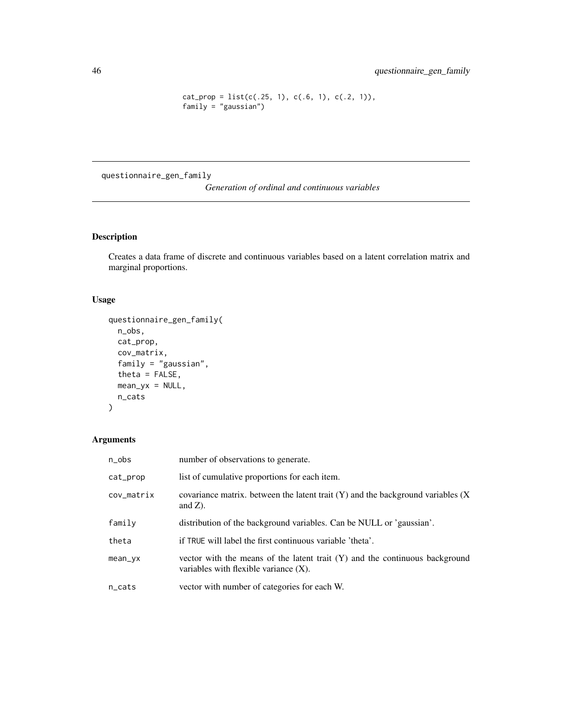<span id="page-45-0"></span> $cat\_prop = list(c(.25, 1), c(.6, 1), c(.2, 1)),$ family = "gaussian")

questionnaire\_gen\_family

*Generation of ordinal and continuous variables*

# Description

Creates a data frame of discrete and continuous variables based on a latent correlation matrix and marginal proportions.

#### Usage

```
questionnaire_gen_family(
 n_obs,
 cat_prop,
  cov_matrix,
 family = "gaussian",
 theta = FALSE,
 mean_yx = NULL,n_cats
)
```

| n_obs      | number of observations to generate.                                                                                       |
|------------|---------------------------------------------------------------------------------------------------------------------------|
| cat_prop   | list of cumulative proportions for each item.                                                                             |
| cov_matrix | covariance matrix. between the latent trait $(Y)$ and the background variables $(X)$<br>and $Z$ ).                        |
| family     | distribution of the background variables. Can be NULL or 'gaussian'.                                                      |
| theta      | if TRUE will label the first continuous variable 'theta'.                                                                 |
| mean_yx    | vector with the means of the latent trait $(Y)$ and the continuous background<br>variables with flexible variance $(X)$ . |
| n cats     | vector with number of categories for each W.                                                                              |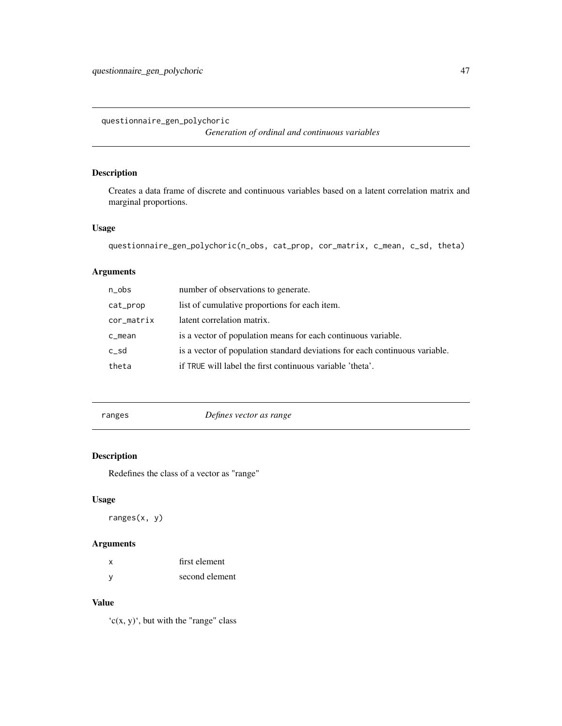<span id="page-46-0"></span>questionnaire\_gen\_polychoric

*Generation of ordinal and continuous variables*

#### Description

Creates a data frame of discrete and continuous variables based on a latent correlation matrix and marginal proportions.

#### Usage

```
questionnaire_gen_polychoric(n_obs, cat_prop, cor_matrix, c_mean, c_sd, theta)
```
# Arguments

| n_obs      | number of observations to generate.                                         |
|------------|-----------------------------------------------------------------------------|
| cat_prop   | list of cumulative proportions for each item.                               |
| cor_matrix | latent correlation matrix.                                                  |
| c_mean     | is a vector of population means for each continuous variable.               |
| $c$ _sd    | is a vector of population standard deviations for each continuous variable. |
| theta      | if TRUE will label the first continuous variable 'theta'.                   |
|            |                                                                             |

ranges *Defines vector as range*

# Description

Redefines the class of a vector as "range"

#### Usage

ranges(x, y)

# Arguments

| x | first element  |
|---|----------------|
| y | second element |

#### Value

 $(c(x, y)$ , but with the "range" class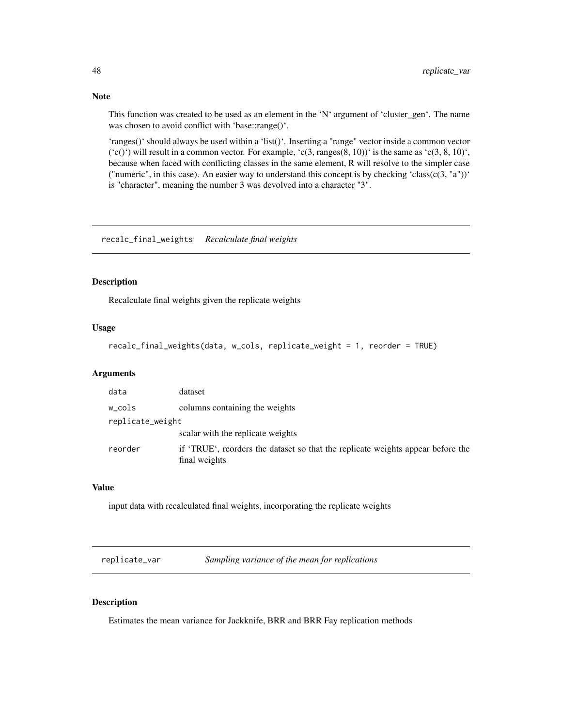This function was created to be used as an element in the 'N' argument of 'cluster\_gen'. The name was chosen to avoid conflict with 'base::range()'.

'ranges()' should always be used within a 'list()'. Inserting a "range" vector inside a common vector ( $^{\circ}$ c()') will result in a common vector. For example,  $^{\circ}$ c(3, ranges(8, 10))' is the same as  $^{\circ}$ c(3, 8, 10)', because when faced with conflicting classes in the same element, R will resolve to the simpler case ("numeric", in this case). An easier way to understand this concept is by checking 'class( $c(3, "a")$ ') is "character", meaning the number 3 was devolved into a character "3".

recalc\_final\_weights *Recalculate final weights*

#### Description

Recalculate final weights given the replicate weights

#### Usage

```
recalc_final_weights(data, w_cols, replicate_weight = 1, reorder = TRUE)
```
#### Arguments

| data             | dataset                                                                                          |
|------------------|--------------------------------------------------------------------------------------------------|
| w_cols           | columns containing the weights                                                                   |
| replicate_weight |                                                                                                  |
|                  | scalar with the replicate weights                                                                |
| reorder          | if 'TRUE', reorders the dataset so that the replicate weights appear before the<br>final weights |

#### Value

input data with recalculated final weights, incorporating the replicate weights

replicate\_var *Sampling variance of the mean for replications*

#### Description

Estimates the mean variance for Jackknife, BRR and BRR Fay replication methods

<span id="page-47-0"></span>

# Note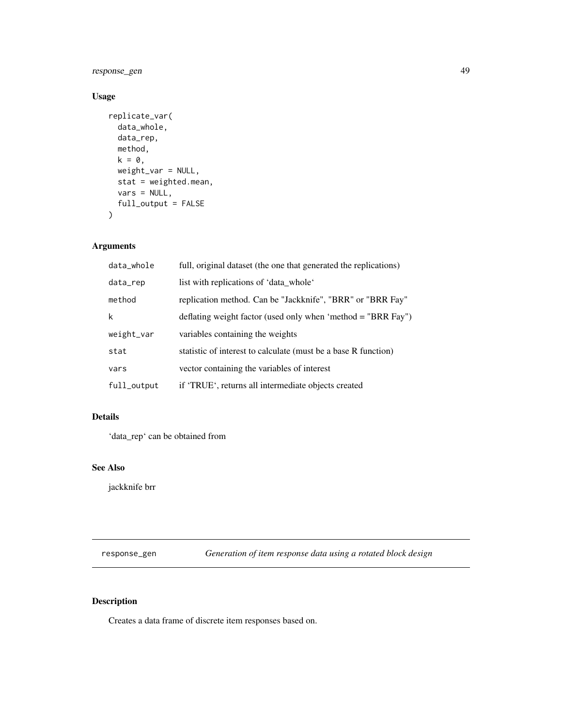<span id="page-48-0"></span>response\_gen 49

# Usage

```
replicate_var(
 data_whole,
 data_rep,
 method,
 k = 0,weight_var = NULL,
 stat = weighted.mean,
 vars = NULL,full_output = FALSE
)
```
# Arguments

| data_whole  | full, original dataset (the one that generated the replications) |
|-------------|------------------------------------------------------------------|
| data_rep    | list with replications of 'data whole'                           |
| method      | replication method. Can be "Jackknife", "BRR" or "BRR Fay"       |
| k           | deflating weight factor (used only when 'method $=$ "BRR Fay")   |
| weight_var  | variables containing the weights                                 |
| stat        | statistic of interest to calculate (must be a base R function)   |
| vars        | vector containing the variables of interest                      |
| full_output | if 'TRUE', returns all intermediate objects created              |

# Details

'data\_rep' can be obtained from

#### See Also

jackknife brr

response\_gen *Generation of item response data using a rotated block design*

# Description

Creates a data frame of discrete item responses based on.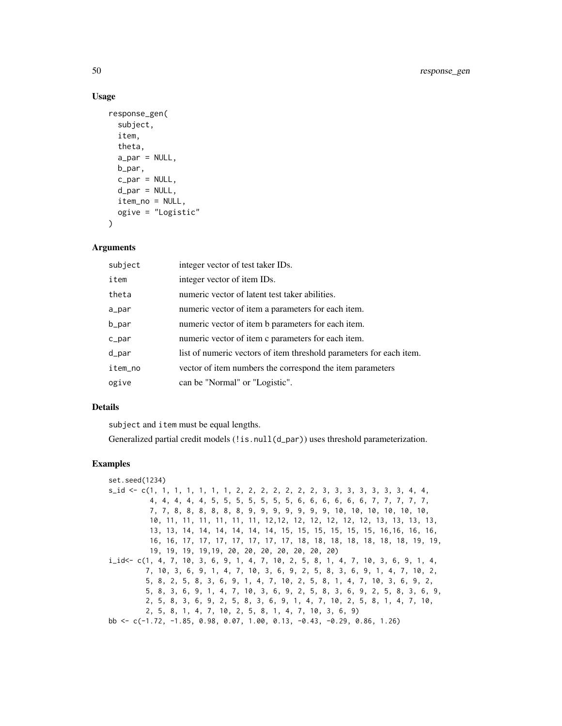#### Usage

```
response_gen(
  subject,
  item,
  theta,
  a_par = NULL,
  b_par,
  c_par = NULL,
  d<sub>par</sub> = NULL,
  item_no = NULL,
  ogive = "Logistic"
)
```
#### Arguments

| subject | integer vector of test taker IDs.                                   |
|---------|---------------------------------------------------------------------|
| item    | integer vector of item IDs.                                         |
| theta   | numeric vector of latent test taker abilities.                      |
| a_par   | numeric vector of item a parameters for each item.                  |
| b_par   | numeric vector of item b parameters for each item.                  |
| c_par   | numeric vector of item c parameters for each item.                  |
| d_par   | list of numeric vectors of item threshold parameters for each item. |
| item_no | vector of item numbers the correspond the item parameters           |
| ogive   | can be "Normal" or "Logistic".                                      |

#### Details

subject and item must be equal lengths.

Generalized partial credit models (!is.null(d\_par)) uses threshold parameterization.

#### Examples

```
set.seed(1234)
s_id <- c(1, 1, 1, 1, 1, 1, 1, 2, 2, 2, 2, 2, 2, 2, 3, 3, 3, 3, 3, 3, 3, 4, 4,
          4, 4, 4, 4, 4, 5, 5, 5, 5, 5, 5, 5, 6, 6, 6, 6, 6, 6, 7, 7, 7, 7, 7,
          7, 7, 8, 8, 8, 8, 8, 8, 9, 9, 9, 9, 9, 9, 9, 10, 10, 10, 10, 10, 10,
          10, 11, 11, 11, 11, 11, 11, 12,12, 12, 12, 12, 12, 12, 13, 13, 13, 13,
          13, 13, 14, 14, 14, 14, 14, 14, 15, 15, 15, 15, 15, 15, 16,16, 16, 16,
          16, 16, 17, 17, 17, 17, 17, 17, 17, 18, 18, 18, 18, 18, 18, 18, 19, 19,
          19, 19, 19, 19,19, 20, 20, 20, 20, 20, 20, 20)
i_id<- c(1, 4, 7, 10, 3, 6, 9, 1, 4, 7, 10, 2, 5, 8, 1, 4, 7, 10, 3, 6, 9, 1, 4,
         7, 10, 3, 6, 9, 1, 4, 7, 10, 3, 6, 9, 2, 5, 8, 3, 6, 9, 1, 4, 7, 10, 2,
         5, 8, 2, 5, 8, 3, 6, 9, 1, 4, 7, 10, 2, 5, 8, 1, 4, 7, 10, 3, 6, 9, 2,
         5, 8, 3, 6, 9, 1, 4, 7, 10, 3, 6, 9, 2, 5, 8, 3, 6, 9, 2, 5, 8, 3, 6, 9,
         2, 5, 8, 3, 6, 9, 2, 5, 8, 3, 6, 9, 1, 4, 7, 10, 2, 5, 8, 1, 4, 7, 10,
         2, 5, 8, 1, 4, 7, 10, 2, 5, 8, 1, 4, 7, 10, 3, 6, 9)
bb <- c(-1.72, -1.85, 0.98, 0.07, 1.00, 0.13, -0.43, -0.29, 0.86, 1.26)
```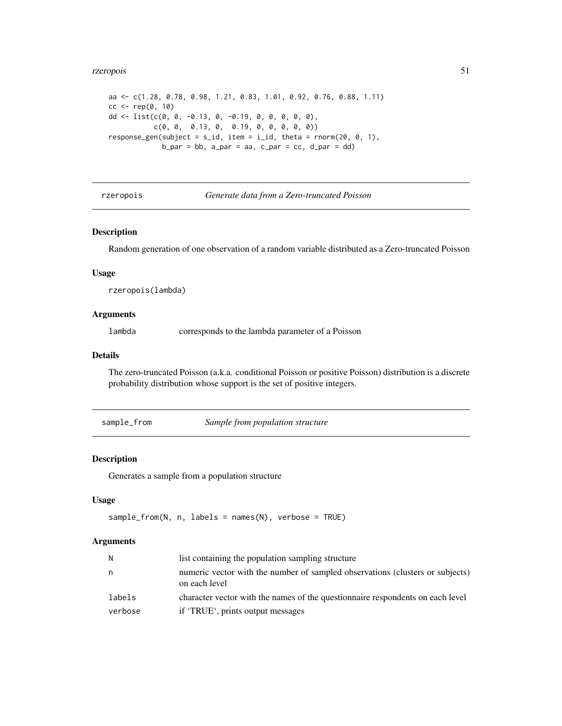#### <span id="page-50-0"></span>rzeropois 51

```
aa <- c(1.28, 0.78, 0.98, 1.21, 0.83, 1.01, 0.92, 0.76, 0.88, 1.11)
cc < -\text{rep}(0, 10)dd <- list(c(0, 0, -0.13, 0, -0.19, 0, 0, 0, 0, 0),
            c(0, 0, 0.13, 0, 0.19, 0, 0, 0, 0, 0))
response_gen(subject = s_id, item = i_id, theta = rnorm(20, 0, 1),
               b<sub>-</sub>par = bb, a<sub>-</sub>par = aa, c<sub>-</sub>par = cc, d<sub>-</sub>par = dd)
```
rzeropois *Generate data from a Zero-truncated Poisson*

#### Description

Random generation of one observation of a random variable distributed as a Zero-truncated Poisson

#### Usage

rzeropois(lambda)

#### Arguments

lambda corresponds to the lambda parameter of a Poisson

#### Details

The zero-truncated Poisson (a.k.a. conditional Poisson or positive Poisson) distribution is a discrete probability distribution whose support is the set of positive integers.

sample\_from *Sample from population structure*

#### Description

Generates a sample from a population structure

#### Usage

```
sample_from(N, n, labels = names(N), verbose = TRUE)
```

| N       | list containing the population sampling structure                                              |
|---------|------------------------------------------------------------------------------------------------|
| n       | numeric vector with the number of sampled observations (clusters or subjects)<br>on each level |
| labels  | character vector with the names of the questionnaire respondents on each level                 |
| verbose | if 'TRUE', prints output messages                                                              |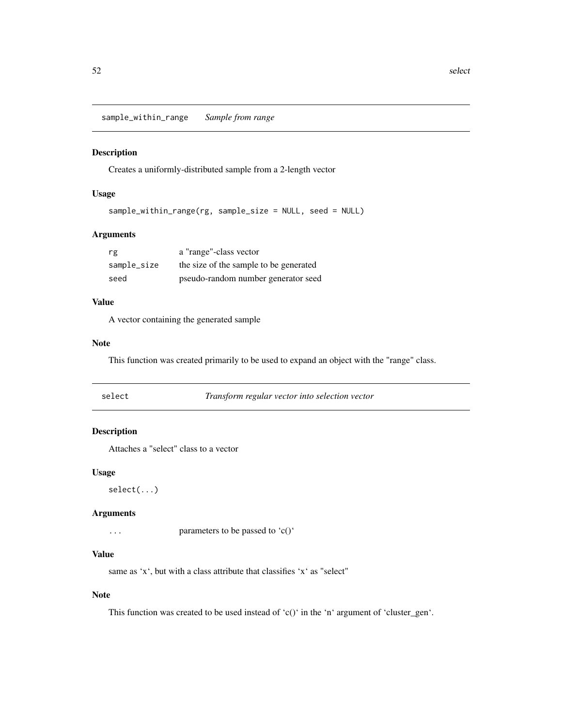<span id="page-51-0"></span>sample\_within\_range *Sample from range*

#### Description

Creates a uniformly-distributed sample from a 2-length vector

#### Usage

```
sample_within_range(rg, sample_size = NULL, seed = NULL)
```
#### Arguments

| rg          | a "range"-class vector                 |
|-------------|----------------------------------------|
| sample_size | the size of the sample to be generated |
| seed        | pseudo-random number generator seed    |

# Value

A vector containing the generated sample

#### Note

This function was created primarily to be used to expand an object with the "range" class.

| select | Transform regular vector into selection vector |
|--------|------------------------------------------------|
|--------|------------------------------------------------|

# Description

Attaches a "select" class to a vector

#### Usage

select(...)

#### Arguments

... parameters to be passed to 'c()'

#### Value

same as 'x', but with a class attribute that classifies 'x' as "select"

# Note

This function was created to be used instead of 'c()' in the 'n' argument of 'cluster\_gen'.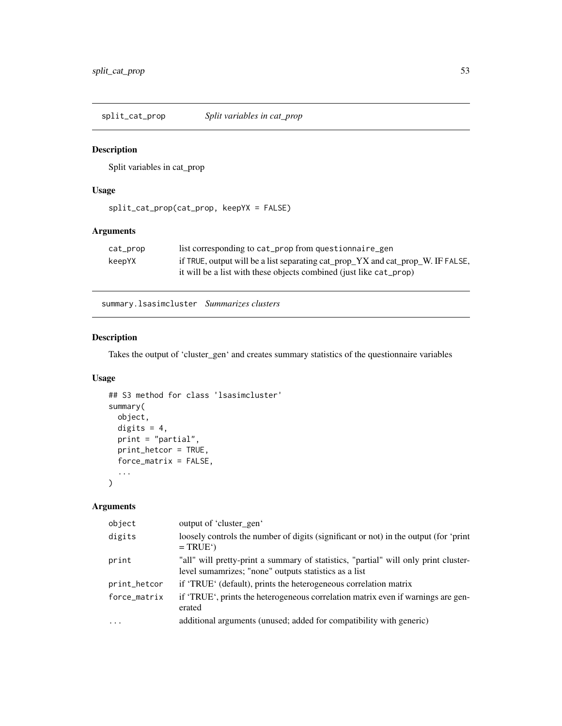<span id="page-52-0"></span>split\_cat\_prop *Split variables in cat\_prop*

#### Description

Split variables in cat\_prop

#### Usage

split\_cat\_prop(cat\_prop, keepYX = FALSE)

# Arguments

| cat_prop | list corresponding to cat_prop from questionnaire_gen                           |
|----------|---------------------------------------------------------------------------------|
| keepYX   | if TRUE, output will be a list separating cat_prop_YX and cat_prop_W. IF FALSE, |
|          | it will be a list with these objects combined (just like cat_prop)              |

summary.lsasimcluster *Summarizes clusters*

# Description

Takes the output of 'cluster\_gen' and creates summary statistics of the questionnaire variables

# Usage

```
## S3 method for class 'lsasimcluster'
summary(
 object,
 digits = 4,
 print = "partial",
 print_hetcor = TRUE,
  force_matrix = FALSE,
  ...
)
```

| object       | output of 'cluster_gen'                                                                                                                      |
|--------------|----------------------------------------------------------------------------------------------------------------------------------------------|
| digits       | loosely controls the number of digits (significant or not) in the output (for 'print<br>$= TRUE'$                                            |
| print        | "all" will pretty-print a summary of statistics, "partial" will only print cluster-<br>level sumamrizes; "none" outputs statistics as a list |
| print_hetcor | if 'TRUE' (default), prints the heterogeneous correlation matrix                                                                             |
| force_matrix | if 'TRUE', prints the heterogeneous correlation matrix even if warnings are gen-<br>erated                                                   |
| $\cdot$      | additional arguments (unused; added for compatibility with generic)                                                                          |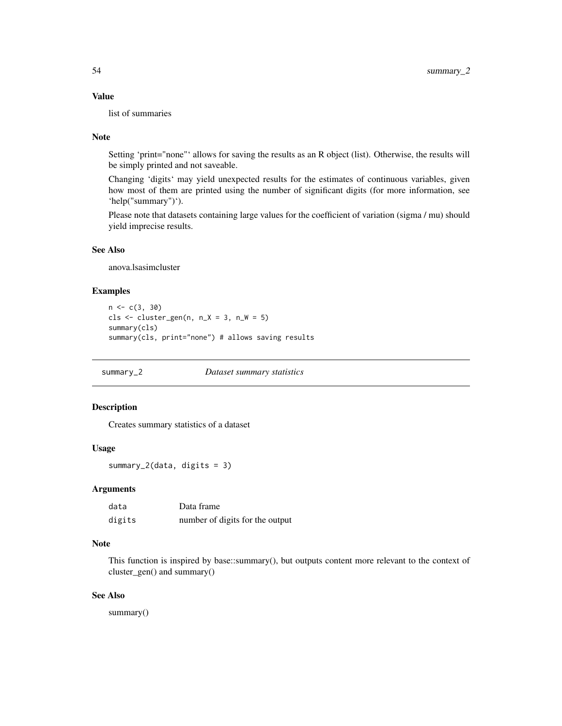#### <span id="page-53-0"></span>Value

list of summaries

#### Note

Setting 'print="none"' allows for saving the results as an R object (list). Otherwise, the results will be simply printed and not saveable.

Changing 'digits' may yield unexpected results for the estimates of continuous variables, given how most of them are printed using the number of significant digits (for more information, see 'help("summary")').

Please note that datasets containing large values for the coefficient of variation (sigma / mu) should yield imprecise results.

#### See Also

anova.lsasimcluster

#### Examples

```
n \leftarrow c(3, 30)cls \le cluster_gen(n, n_X = 3, n_W = 5)
summary(cls)
summary(cls, print="none") # allows saving results
```
summary\_2 *Dataset summary statistics*

#### Description

Creates summary statistics of a dataset

# Usage

summary\_2(data, digits = 3)

#### Arguments

| data   | Data frame                      |
|--------|---------------------------------|
| digits | number of digits for the output |

#### Note

This function is inspired by base::summary(), but outputs content more relevant to the context of cluster\_gen() and summary()

#### See Also

summary()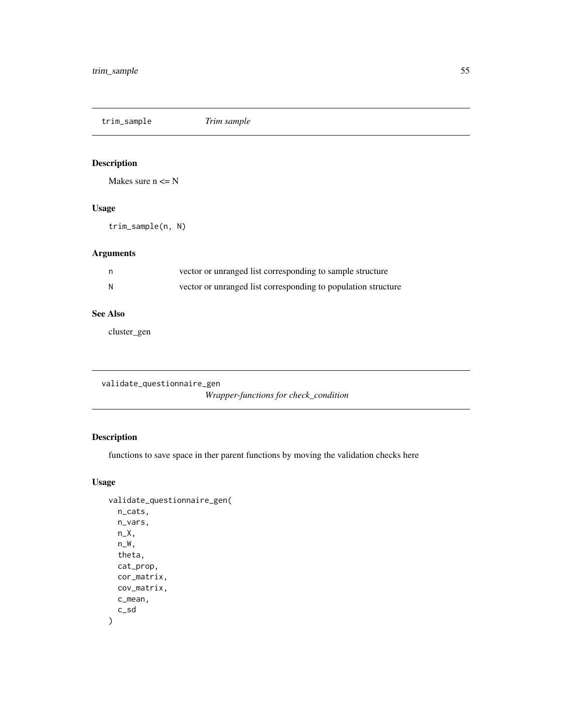<span id="page-54-0"></span>trim\_sample *Trim sample*

# Description

Makes sure  $n \leq N$ 

#### Usage

trim\_sample(n, N)

# Arguments

| n | vector or unranged list corresponding to sample structure     |
|---|---------------------------------------------------------------|
| N | vector or unranged list corresponding to population structure |

# See Also

cluster\_gen

validate\_questionnaire\_gen *Wrapper-functions for check\_condition*

# Description

functions to save space in ther parent functions by moving the validation checks here

# Usage

```
validate_questionnaire_gen(
  n_cats,
  n_vars,
  n_X,
  n_W,
  theta,
  cat_prop,
  cor_matrix,
  cov_matrix,
  c_mean,
  c_sd
)
```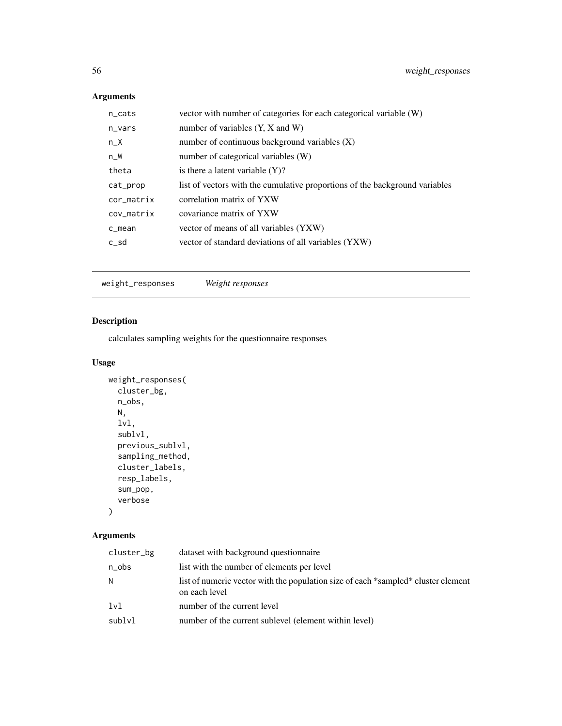# Arguments

| $n$ <sub>cats</sub> | vector with number of categories for each categorical variable (W)          |
|---------------------|-----------------------------------------------------------------------------|
| $n_vars$            | number of variables $(Y, X, Z)$                                             |
| $n_X$               | number of continuous background variables $(X)$                             |
| $n_W$               | number of categorical variables (W)                                         |
| theta               | is there a latent variable $(Y)$ ?                                          |
| cat_prop            | list of vectors with the cumulative proportions of the background variables |
| cor_matrix          | correlation matrix of YXW                                                   |
| cov_matrix          | covariance matrix of YXW                                                    |
| $c$ _mean           | vector of means of all variables (YXW)                                      |
| $c$ _sd             | vector of standard deviations of all variables (YXW)                        |
|                     |                                                                             |

weight\_responses *Weight responses*

# Description

calculates sampling weights for the questionnaire responses

# Usage

```
weight_responses(
 cluster_bg,
 n_obs,
 N,
 lvl,
  sublvl,
 previous_sublvl,
  sampling_method,
 cluster_labels,
  resp_labels,
  sum_pop,
 verbose
\mathcal{L}
```

| cluster_bg | dataset with background questionnaire                                                              |
|------------|----------------------------------------------------------------------------------------------------|
| n_obs      | list with the number of elements per level                                                         |
| N          | list of numeric vector with the population size of each *sampled* cluster element<br>on each level |
| 1v1        | number of the current level                                                                        |
| sublvl     | number of the current sublevel (element within level)                                              |

<span id="page-55-0"></span>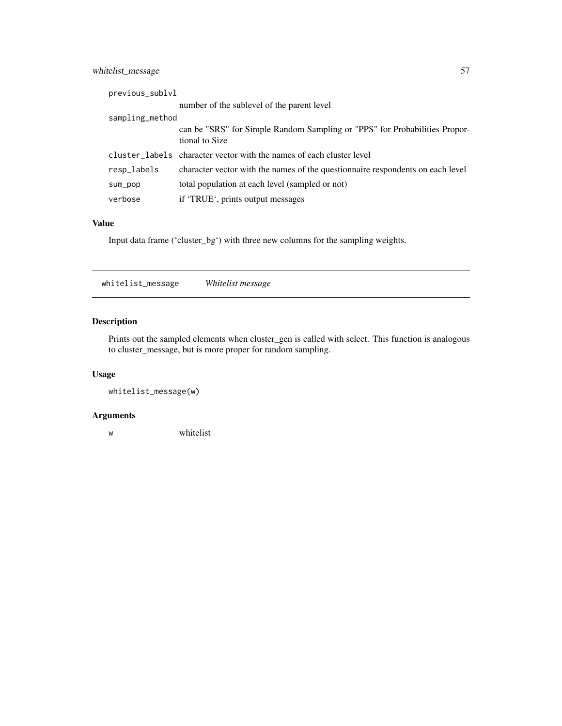# <span id="page-56-0"></span>whitelist\_message 57

| previous_sublvl |                                                                                              |  |
|-----------------|----------------------------------------------------------------------------------------------|--|
|                 | number of the sublevel of the parent level                                                   |  |
| sampling_method |                                                                                              |  |
|                 | can be "SRS" for Simple Random Sampling or "PPS" for Probabilities Propor-<br>tional to Size |  |
|                 | cluster_labels character vector with the names of each cluster level                         |  |
| resp_labels     | character vector with the names of the questionnaire respondents on each level               |  |
| sum_pop         | total population at each level (sampled or not)                                              |  |
| verbose         | if 'TRUE', prints output messages                                                            |  |

# Value

Input data frame ('cluster\_bg') with three new columns for the sampling weights.

whitelist\_message *Whitelist message*

# Description

Prints out the sampled elements when cluster\_gen is called with select. This function is analogous to cluster\_message, but is more proper for random sampling.

# Usage

```
whitelist_message(w)
```
#### Arguments

w whitelist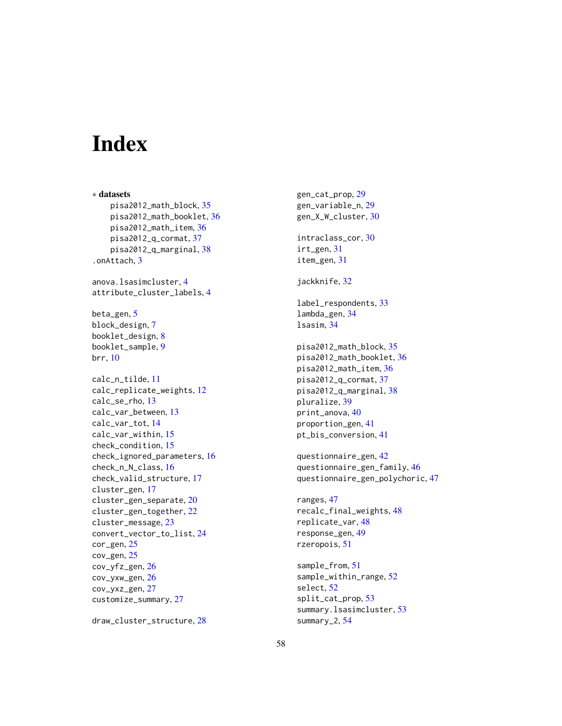# <span id="page-57-0"></span>**Index**

∗ datasets pisa2012\_math\_block, [35](#page-34-0) pisa2012\_math\_booklet, [36](#page-35-0) pisa2012\_math\_item, [36](#page-35-0) pisa2012\_q\_cormat, [37](#page-36-0) pisa2012\_q\_marginal, [38](#page-37-0) .onAttach, [3](#page-2-0) anova.lsasimcluster, [4](#page-3-0) attribute\_cluster\_labels, [4](#page-3-0) beta\_gen, [5](#page-4-0) block\_design, [7](#page-6-0) booklet\_design, [8](#page-7-0) booklet\_sample, [9](#page-8-0) brr, [10](#page-9-0) calc\_n\_tilde, [11](#page-10-0) calc\_replicate\_weights, [12](#page-11-0) calc\_se\_rho, [13](#page-12-0) calc\_var\_between, [13](#page-12-0) calc\_var\_tot, [14](#page-13-0) calc\_var\_within, [15](#page-14-0) check\_condition, [15](#page-14-0) check\_ignored\_parameters, [16](#page-15-0) check\_n\_N\_class, [16](#page-15-0) check\_valid\_structure, [17](#page-16-0) cluster\_gen, [17](#page-16-0) cluster\_gen\_separate, [20](#page-19-0) cluster\_gen\_together, [22](#page-21-0) cluster\_message, [23](#page-22-0) convert\_vector\_to\_list, [24](#page-23-0) cor\_gen, [25](#page-24-0) cov\_gen, [25](#page-24-0) cov\_yfz\_gen, [26](#page-25-0) cov\_yxw\_gen, [26](#page-25-0) cov\_yxz\_gen, [27](#page-26-0) customize\_summary, [27](#page-26-0)

draw\_cluster\_structure, [28](#page-27-0)

gen\_cat\_prop, [29](#page-28-0) gen\_variable\_n, [29](#page-28-0) gen\_X\_W\_cluster, [30](#page-29-0) intraclass\_cor, [30](#page-29-0) irt\_gen, [31](#page-30-0) item\_gen, [31](#page-30-0) jackknife, [32](#page-31-0) label\_respondents, [33](#page-32-0) lambda\_gen, [34](#page-33-0) lsasim, [34](#page-33-0) pisa2012\_math\_block, [35](#page-34-0) pisa2012\_math\_booklet, [36](#page-35-0) pisa2012\_math\_item, [36](#page-35-0) pisa2012\_q\_cormat, [37](#page-36-0) pisa2012\_q\_marginal, [38](#page-37-0) pluralize, [39](#page-38-0) print\_anova, [40](#page-39-0) proportion\_gen, [41](#page-40-0) pt\_bis\_conversion, [41](#page-40-0) questionnaire\_gen, [42](#page-41-0) questionnaire\_gen\_family, [46](#page-45-0) questionnaire\_gen\_polychoric, [47](#page-46-0) ranges, [47](#page-46-0) recalc\_final\_weights, [48](#page-47-0) replicate\_var, [48](#page-47-0) response\_gen, [49](#page-48-0) rzeropois, [51](#page-50-0)

```
sample_from, 51
sample_within_range, 52
select, 52
split_cat_prop, 53
summary.lsasimcluster, 53
summary_2, 54
```